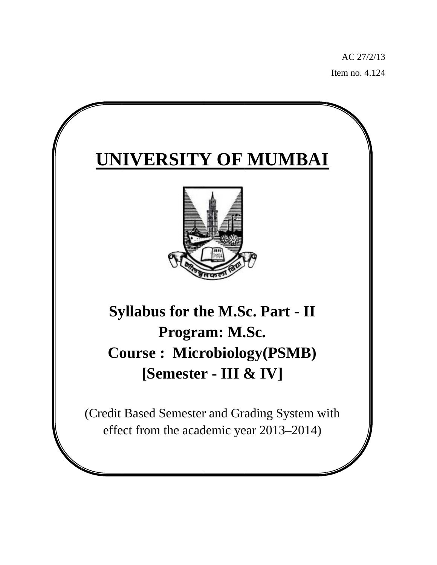AC 27/ /2/13 Item no. 4 4.124

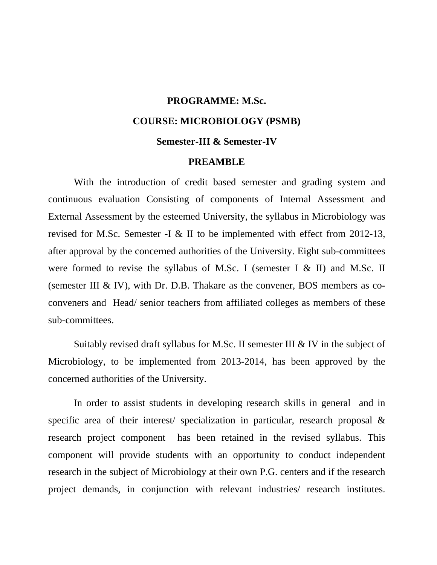# **PROGRAMME: M.Sc. COURSE: MICROBIOLOGY (PSMB) Semester-III & Semester-IV**

### **PREAMBLE**

 With the introduction of credit based semester and grading system and continuous evaluation Consisting of components of Internal Assessment and External Assessment by the esteemed University, the syllabus in Microbiology was revised for M.Sc. Semester -I & II to be implemented with effect from 2012-13, after approval by the concerned authorities of the University. Eight sub-committees were formed to revise the syllabus of M.Sc. I (semester I  $\&$  II) and M.Sc. II (semester III & IV), with Dr. D.B. Thakare as the convener, BOS members as coconveners and Head/ senior teachers from affiliated colleges as members of these sub-committees.

 Suitably revised draft syllabus for M.Sc. II semester III & IV in the subject of Microbiology, to be implemented from 2013-2014, has been approved by the concerned authorities of the University.

 In order to assist students in developing research skills in general and in specific area of their interest/ specialization in particular, research proposal & research project component has been retained in the revised syllabus. This component will provide students with an opportunity to conduct independent research in the subject of Microbiology at their own P.G. centers and if the research project demands, in conjunction with relevant industries/ research institutes.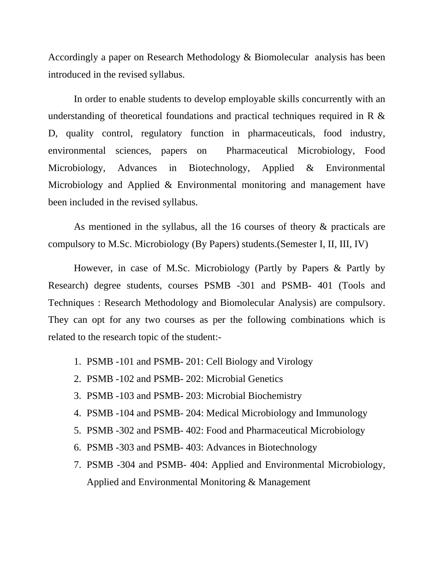Accordingly a paper on Research Methodology & Biomolecular analysis has been introduced in the revised syllabus.

 In order to enable students to develop employable skills concurrently with an understanding of theoretical foundations and practical techniques required in R & D, quality control, regulatory function in pharmaceuticals, food industry, environmental sciences, papers on Pharmaceutical Microbiology, Food Microbiology, Advances in Biotechnology, Applied & Environmental Microbiology and Applied & Environmental monitoring and management have been included in the revised syllabus.

 As mentioned in the syllabus, all the 16 courses of theory & practicals are compulsory to M.Sc. Microbiology (By Papers) students.(Semester I, II, III, IV)

 However, in case of M.Sc. Microbiology (Partly by Papers & Partly by Research) degree students, courses PSMB -301 and PSMB- 401 (Tools and Techniques : Research Methodology and Biomolecular Analysis) are compulsory. They can opt for any two courses as per the following combinations which is related to the research topic of the student:-

- 1. PSMB -101 and PSMB- 201: Cell Biology and Virology
- 2. PSMB -102 and PSMB- 202: Microbial Genetics
- 3. PSMB -103 and PSMB- 203: Microbial Biochemistry
- 4. PSMB -104 and PSMB- 204: Medical Microbiology and Immunology
- 5. PSMB -302 and PSMB- 402: Food and Pharmaceutical Microbiology
- 6. PSMB -303 and PSMB- 403: Advances in Biotechnology
- 7. PSMB -304 and PSMB- 404: Applied and Environmental Microbiology, Applied and Environmental Monitoring & Management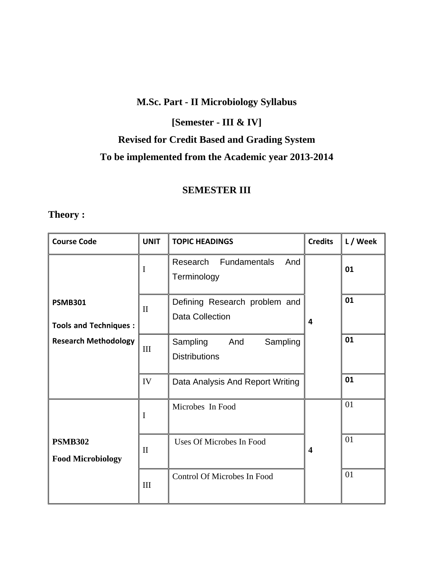## **M.Sc. Part - II Microbiology Syllabus**

## **[Semester - III & IV]**

# **Revised for Credit Based and Grading System**

## **To be implemented from the Academic year 2013-2014**

## **SEMESTER III**

## **Theory :**

| <b>Course Code</b>                                                            | <b>UNIT</b>  | <b>TOPIC HEADINGS</b>                                   | <b>Credits</b>          | L / Week |
|-------------------------------------------------------------------------------|--------------|---------------------------------------------------------|-------------------------|----------|
|                                                                               | I            | Fundamentals<br>And<br>Research<br>Terminology          |                         | 01       |
| <b>PSMB301</b><br><b>Tools and Techniques:</b><br><b>Research Methodology</b> | $\mathbf{I}$ | Defining Research problem and<br><b>Data Collection</b> | 4                       | 01       |
|                                                                               | III          | Sampling<br>Sampling<br>And<br><b>Distributions</b>     |                         | 01       |
|                                                                               | IV           | Data Analysis And Report Writing                        |                         | 01       |
|                                                                               | I            | Microbes In Food                                        |                         | 01       |
| <b>PSMB302</b><br><b>Food Microbiology</b>                                    | $\mathbf{I}$ | <b>Uses Of Microbes In Food</b>                         | $\overline{\mathbf{4}}$ | 01       |
|                                                                               | III          | Control Of Microbes In Food                             |                         | 01       |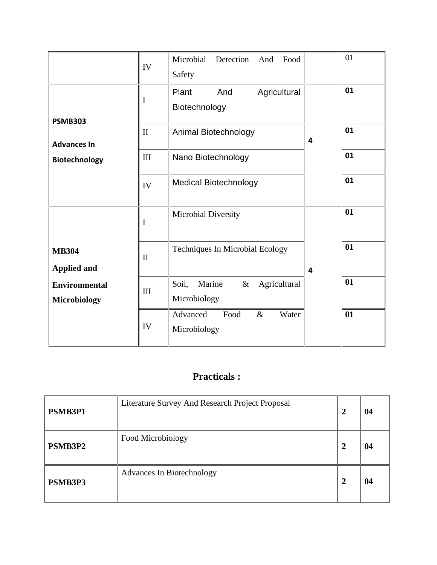|                                             | IV           | Microbial<br>Detection<br>Food<br>And<br>Safety         |   | 01 |
|---------------------------------------------|--------------|---------------------------------------------------------|---|----|
| <b>PSMB303</b>                              | I            | Plant<br>And<br>Agricultural<br>Biotechnology           |   | 01 |
| <b>Advances In</b>                          | $\mathbf{I}$ | Animal Biotechnology                                    | 4 | 01 |
| Biotechnology                               | III          | Nano Biotechnology                                      |   | 01 |
|                                             | IV           | <b>Medical Biotechnology</b>                            |   | 01 |
|                                             | I            | Microbial Diversity                                     |   | 01 |
| <b>MB304</b><br><b>Applied and</b>          | $\mathbf{I}$ | <b>Techniques In Microbial Ecology</b>                  | 4 | 01 |
| <b>Environmental</b><br><b>Microbiology</b> | III          | Soil,<br>Marine<br>$\&$<br>Agricultural<br>Microbiology |   | 01 |
|                                             | IV           | Advanced<br>Food<br>$\&$<br>Water<br>Microbiology       |   | 01 |

# **Practicals :**

| PSMB3P1 | Literature Survey And Research Project Proposal | 04 |
|---------|-------------------------------------------------|----|
| PSMB3P2 | Food Microbiology                               | 04 |
| PSMB3P3 | <b>Advances In Biotechnology</b>                | 04 |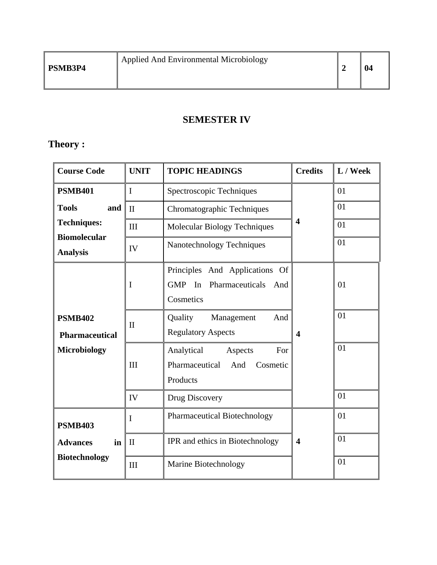# **SEMESTER IV**

# **Theory :**

| <b>Course Code</b>                                             | <b>UNIT</b>  | <b>TOPIC HEADINGS</b>                                                         | <b>Credits</b>          | L / Week |
|----------------------------------------------------------------|--------------|-------------------------------------------------------------------------------|-------------------------|----------|
| <b>PSMB401</b><br><b>Tools</b><br>and                          | $\mathbf I$  | Spectroscopic Techniques                                                      |                         | 01       |
|                                                                | $\mathbf{I}$ | Chromatographic Techniques                                                    |                         | 01       |
| <b>Techniques:</b>                                             | III          | Molecular Biology Techniques                                                  | $\overline{\mathbf{4}}$ | 01       |
| <b>Biomolecular</b><br><b>Analysis</b>                         | IV           | Nanotechnology Techniques                                                     |                         | 01       |
|                                                                | I            | Principles And Applications Of<br>GMP In Pharmaceuticals<br>And<br>Cosmetics  |                         | 01       |
| <b>PSMB402</b><br><b>Pharmaceutical</b><br><b>Microbiology</b> | $\mathbf{I}$ | Quality<br>Management<br>And<br><b>Regulatory Aspects</b>                     | $\overline{\mathbf{4}}$ | 01       |
|                                                                | III          | Analytical<br>Aspects<br>For<br>Pharmaceutical<br>And<br>Cosmetic<br>Products |                         | 01       |
|                                                                | IV           | Drug Discovery                                                                |                         | 01       |
| <b>PSMB403</b>                                                 | I            | Pharmaceutical Biotechnology                                                  |                         | 01       |
| <b>Advances</b><br>in                                          | $\mathbf{I}$ | IPR and ethics in Biotechnology                                               | $\overline{\mathbf{4}}$ | 01       |
| <b>Biotechnology</b>                                           | III          | Marine Biotechnology                                                          |                         | 01       |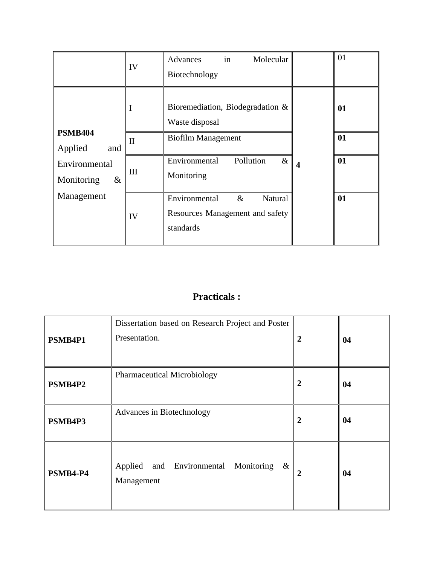|                                                | IV           | in<br>Molecular<br>Advances<br>Biotechnology                                     |                         | 01 |
|------------------------------------------------|--------------|----------------------------------------------------------------------------------|-------------------------|----|
|                                                | I            | Bioremediation, Biodegradation $\&$<br>Waste disposal                            |                         | 01 |
| <b>PSMB404</b><br>Applied<br>and               | $\mathbf{I}$ | <b>Biofilm Management</b>                                                        |                         | 01 |
| Environmental<br>Monitoring<br>&<br>Management | III          | Environmental<br>Pollution<br>$\&$<br>Monitoring                                 | $\overline{\mathbf{4}}$ | 01 |
|                                                | IV           | Environmental<br>$\&$<br>Natural<br>Resources Management and safety<br>standards |                         | 01 |

## **Practicals :**

| PSMB4P1  | Dissertation based on Research Project and Poster<br>Presentation. | $\boldsymbol{2}$ | 04 |
|----------|--------------------------------------------------------------------|------------------|----|
| PSMB4P2  | <b>Pharmaceutical Microbiology</b>                                 | 2                | 04 |
| PSMB4P3  | Advances in Biotechnology                                          | $\overline{2}$   | 04 |
| PSMB4-P4 | Applied and Environmental Monitoring<br>$\&$<br>Management         | 2                | 04 |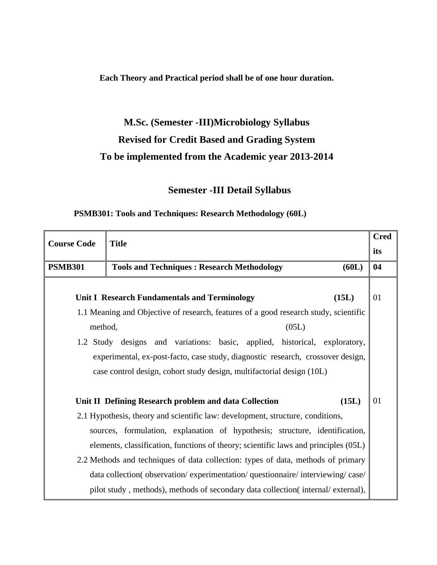**Each Theory and Practical period shall be of one hour duration.** 

# **M.Sc. (Semester -III)Microbiology Syllabus Revised for Credit Based and Grading System To be implemented from the Academic year 2013-2014**

## **Semester -III Detail Syllabus**

### **PSMB301: Tools and Techniques: Research Methodology (60L)**

| <b>Course Code</b> | <b>Title</b>                                                                         | <b>Cred</b> |
|--------------------|--------------------------------------------------------------------------------------|-------------|
|                    |                                                                                      | its         |
| <b>PSMB301</b>     | <b>Tools and Techniques: Research Methodology</b><br>(60L)                           | 04          |
|                    |                                                                                      |             |
|                    | (15L)<br>Unit I Research Fundamentals and Terminology                                | 01          |
|                    | 1.1 Meaning and Objective of research, features of a good research study, scientific |             |
|                    | method,<br>(05L)                                                                     |             |
|                    | 1.2 Study designs and variations: basic, applied, historical, exploratory,           |             |
|                    | experimental, ex-post-facto, case study, diagnostic research, crossover design,      |             |
|                    | case control design, cohort study design, multifactorial design (10L)                |             |
|                    |                                                                                      |             |
|                    | (15L)<br>Unit II Defining Research problem and data Collection                       | 01          |
|                    | 2.1 Hypothesis, theory and scientific law: development, structure, conditions,       |             |
|                    | sources, formulation, explanation of hypothesis; structure, identification,          |             |
|                    | elements, classification, functions of theory; scientific laws and principles (05L)  |             |
|                    | 2.2 Methods and techniques of data collection: types of data, methods of primary     |             |
|                    | data collection(observation/experimentation/questionnaire/interviewing/case/         |             |
|                    | pilot study, methods), methods of secondary data collection(internal/external),      |             |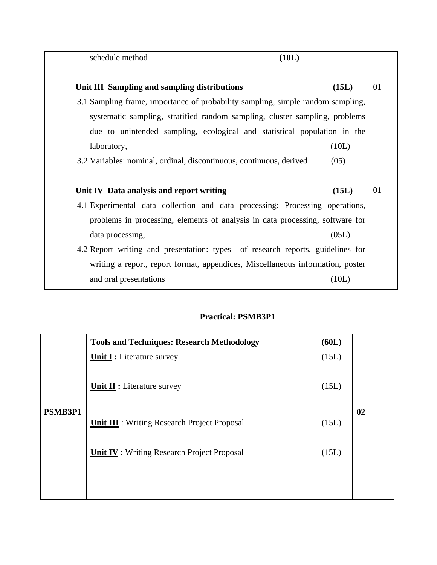| (10L)<br>schedule method                                                        |             |
|---------------------------------------------------------------------------------|-------------|
| Unit III Sampling and sampling distributions                                    | (15L)<br>01 |
| 3.1 Sampling frame, importance of probability sampling, simple random sampling, |             |
| systematic sampling, stratified random sampling, cluster sampling, problems     |             |
| due to unintended sampling, ecological and statistical population in the        |             |
| laboratory,                                                                     | (10L)       |
| 3.2 Variables: nominal, ordinal, discontinuous, continuous, derived             | (05)        |
|                                                                                 |             |
| Unit IV Data analysis and report writing                                        | 01<br>(15L) |
| 4.1 Experimental data collection and data processing: Processing operations,    |             |
| problems in processing, elements of analysis in data processing, software for   |             |
| data processing,                                                                | (05L)       |
| 4.2 Report writing and presentation: types of research reports, guidelines for  |             |
| writing a report, report format, appendices, Miscellaneous information, poster  |             |
|                                                                                 |             |

## **Practical: PSMB3P1**

|         | <b>Tools and Techniques: Research Methodology</b>   | (60L) |    |
|---------|-----------------------------------------------------|-------|----|
|         | <b>Unit I:</b> Literature survey                    | (15L) |    |
|         | <b>Unit II:</b> Literature survey                   | (15L) |    |
| PSMB3P1 | <b>Unit III</b> : Writing Research Project Proposal | (15L) | 02 |
|         | <b>Unit IV</b> : Writing Research Project Proposal  | (15L) |    |
|         |                                                     |       |    |
|         |                                                     |       |    |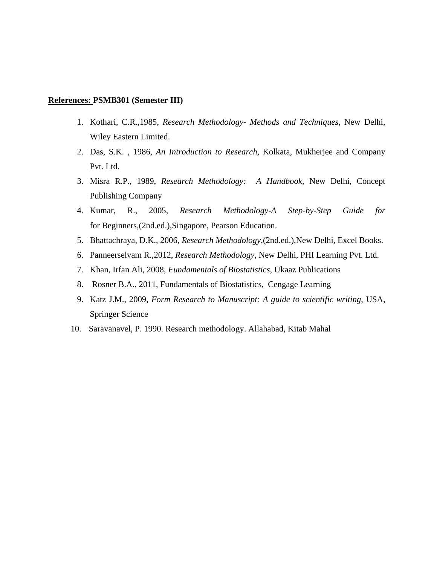#### **References: PSMB301 (Semester III)**

- 1. Kothari, C.R.,1985, *Research Methodology- Methods and Techniques,* New Delhi, Wiley Eastern Limited.
- 2. Das, S.K. , 1986, *An Introduction to Research*, Kolkata, Mukherjee and Company Pvt. Ltd.
- 3. Misra R.P., 1989, *Research Methodology: A Handbook*, New Delhi, Concept Publishing Company
- 4. Kumar, R., 2005, *Research Methodology-A Step-by-Step Guide for*  for Beginners,(2nd.ed.),Singapore, Pearson Education.
- 5. Bhattachraya, D.K., 2006, *Research Methodology*,(2nd.ed.),New Delhi, Excel Books.
- 6. Panneerselvam R.,2012, *Research Methodology*, New Delhi, PHI Learning Pvt. Ltd.
- 7. Khan, Irfan Ali, 2008, *Fundamentals of Biostatistics*, Ukaaz Publications
- 8. Rosner B.A., 2011, Fundamentals of Biostatistics, Cengage Learning
- 9. Katz J.M., 2009, *Form Research to Manuscript: A guide to scientific writing*, USA, Springer Science
- 10. Saravanavel, P. 1990. Research methodology. Allahabad, Kitab Mahal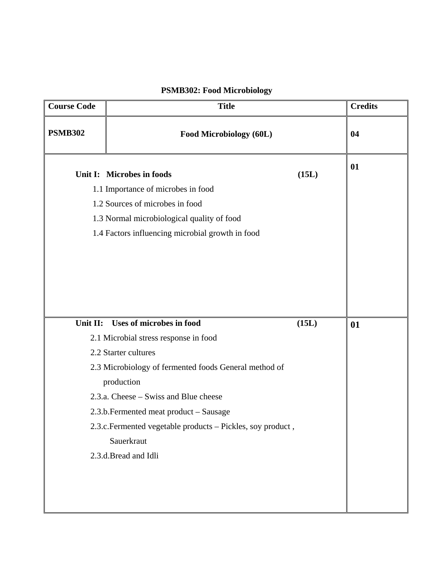## **PSMB302: Food Microbiology**

| <b>Course Code</b> | <b>Title</b>                                                                                                                                                                                                           |       | <b>Credits</b> |
|--------------------|------------------------------------------------------------------------------------------------------------------------------------------------------------------------------------------------------------------------|-------|----------------|
| <b>PSMB302</b>     | Food Microbiology (60L)                                                                                                                                                                                                |       | 04             |
|                    | Unit I: Microbes in foods<br>1.1 Importance of microbes in food<br>1.2 Sources of microbes in food<br>1.3 Normal microbiological quality of food<br>1.4 Factors influencing microbial growth in food                   | (15L) | 01             |
| Unit II:           | <b>Uses of microbes in food</b><br>2.1 Microbial stress response in food<br>2.2 Starter cultures                                                                                                                       | (15L) | 01             |
|                    | 2.3 Microbiology of fermented foods General method of<br>production<br>2.3.a. Cheese – Swiss and Blue cheese<br>2.3.b. Fermented meat product - Sausage<br>2.3.c. Fermented vegetable products - Pickles, soy product, |       |                |
|                    | Sauerkraut<br>2.3.d.Bread and Idli                                                                                                                                                                                     |       |                |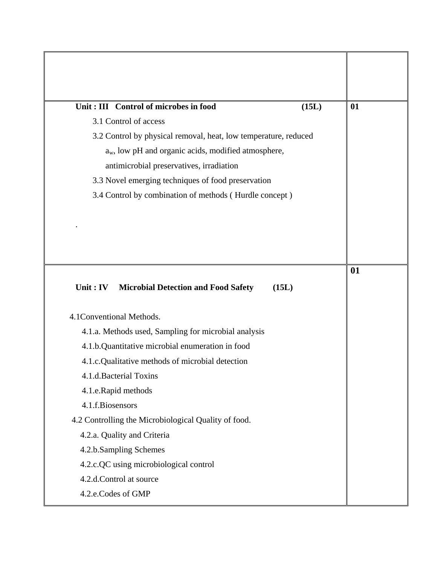| Unit: III Control of microbes in food<br>(15L)                    | 01 |
|-------------------------------------------------------------------|----|
| 3.1 Control of access                                             |    |
| 3.2 Control by physical removal, heat, low temperature, reduced   |    |
| $a_w$ , low pH and organic acids, modified atmosphere,            |    |
| antimicrobial preservatives, irradiation                          |    |
| 3.3 Novel emerging techniques of food preservation                |    |
| 3.4 Control by combination of methods (Hurdle concept)            |    |
|                                                                   |    |
|                                                                   |    |
|                                                                   |    |
|                                                                   |    |
|                                                                   | 01 |
| Unit: $IV$<br><b>Microbial Detection and Food Safety</b><br>(15L) |    |
| 4.1 Conventional Methods.                                         |    |
| 4.1.a. Methods used, Sampling for microbial analysis              |    |
| 4.1.b.Quantitative microbial enumeration in food                  |    |
| 4.1.c.Qualitative methods of microbial detection                  |    |
| 4.1.d.Bacterial Toxins                                            |    |
| 4.1.e.Rapid methods                                               |    |
| 4.1.f.Biosensors                                                  |    |
| 4.2 Controlling the Microbiological Quality of food.              |    |
| 4.2.a. Quality and Criteria                                       |    |
| 4.2.b.Sampling Schemes                                            |    |
| 4.2.c.QC using microbiological control                            |    |
| 4.2.d.Control at source                                           |    |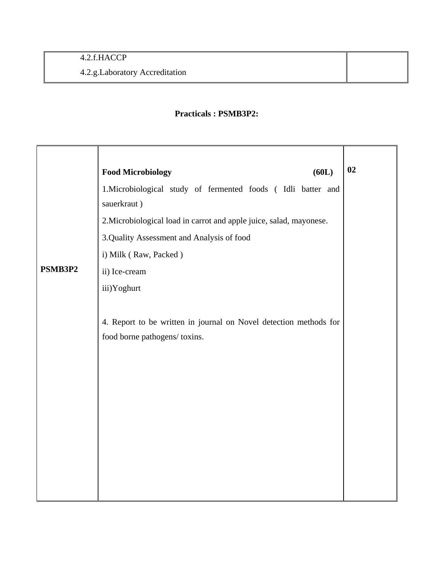### **Practicals : PSMB3P2:**

|         | <b>Food Microbiology</b><br>(60L)                                           | 02 |
|---------|-----------------------------------------------------------------------------|----|
|         | 1. Microbiological study of fermented foods (Idli batter and<br>sauerkraut) |    |
|         | 2. Microbiological load in carrot and apple juice, salad, mayonese.         |    |
|         | 3. Quality Assessment and Analysis of food                                  |    |
|         | i) Milk (Raw, Packed)                                                       |    |
| PSMB3P2 | ii) Ice-cream                                                               |    |
|         | iii)Yoghurt                                                                 |    |
|         |                                                                             |    |
|         | 4. Report to be written in journal on Novel detection methods for           |    |
|         | food borne pathogens/ toxins.                                               |    |
|         |                                                                             |    |
|         |                                                                             |    |
|         |                                                                             |    |
|         |                                                                             |    |
|         |                                                                             |    |
|         |                                                                             |    |
|         |                                                                             |    |
|         |                                                                             |    |
|         |                                                                             |    |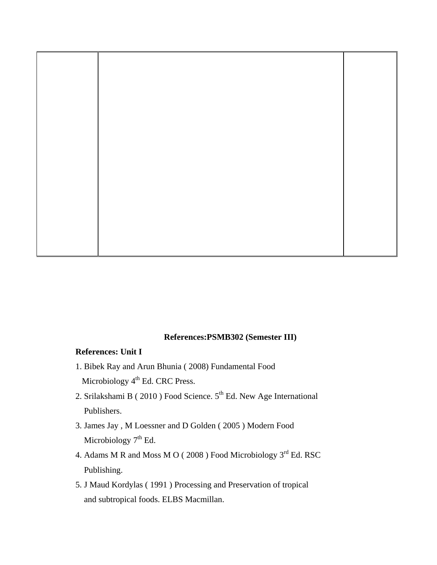

### **References:PSMB302 (Semester III)**

### **References: Unit I**

- 1. Bibek Ray and Arun Bhunia ( 2008) Fundamental Food Microbiology 4<sup>th</sup> Ed. CRC Press.
- 2. Srilakshami B ( $2010$ ) Food Science.  $5<sup>th</sup>$  Ed. New Age International Publishers.
- 3. James Jay , M Loessner and D Golden ( 2005 ) Modern Food Microbiology  $7<sup>th</sup>$  Ed.
- 4. Adams M R and Moss M O (2008) Food Microbiology 3<sup>rd</sup> Ed. RSC Publishing.
- 5. J Maud Kordylas ( 1991 ) Processing and Preservation of tropical and subtropical foods. ELBS Macmillan.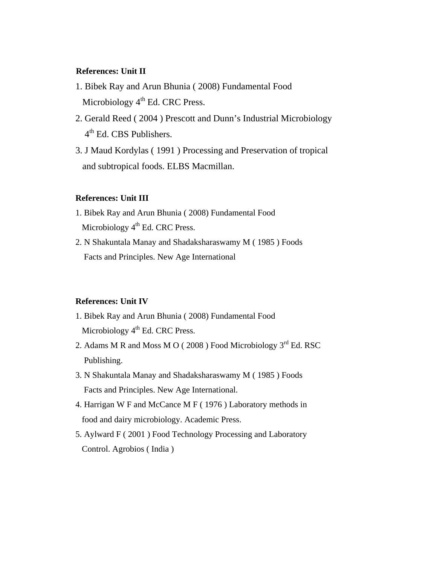### **References: Unit II**

- 1. Bibek Ray and Arun Bhunia ( 2008) Fundamental Food Microbiology  $4<sup>th</sup>$  Ed. CRC Press.
- 2. Gerald Reed ( 2004 ) Prescott and Dunn's Industrial Microbiology 4<sup>th</sup> Ed. CBS Publishers.
- 3. J Maud Kordylas ( 1991 ) Processing and Preservation of tropical and subtropical foods. ELBS Macmillan.

### **References: Unit III**

- 1. Bibek Ray and Arun Bhunia ( 2008) Fundamental Food Microbiology  $4<sup>th</sup>$  Ed. CRC Press.
- 2. N Shakuntala Manay and Shadaksharaswamy M ( 1985 ) Foods Facts and Principles. New Age International

### **References: Unit IV**

- 1. Bibek Ray and Arun Bhunia ( 2008) Fundamental Food Microbiology  $4<sup>th</sup>$  Ed. CRC Press.
- 2. Adams M R and Moss M O ( $2008$ ) Food Microbiology  $3<sup>rd</sup>$  Ed. RSC Publishing.
- 3. N Shakuntala Manay and Shadaksharaswamy M ( 1985 ) Foods Facts and Principles. New Age International.
- 4. Harrigan W F and McCance M F ( 1976 ) Laboratory methods in food and dairy microbiology. Academic Press.
- 5. Aylward F ( 2001 ) Food Technology Processing and Laboratory Control. Agrobios ( India )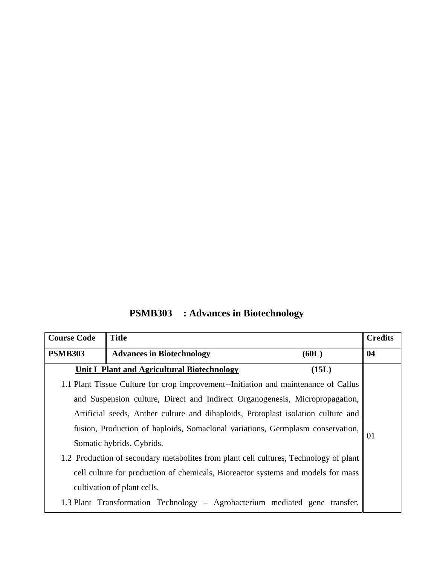**PSMB303 : Advances in Biotechnology** 

| <b>Course Code</b> | <b>Title</b>                                                                          |       | <b>Credits</b> |
|--------------------|---------------------------------------------------------------------------------------|-------|----------------|
| <b>PSMB303</b>     | <b>Advances in Biotechnology</b>                                                      | (60L) | 04             |
|                    | <b>Unit I Plant and Agricultural Biotechnology</b>                                    | (15L) |                |
|                    | 1.1 Plant Tissue Culture for crop improvement--Initiation and maintenance of Callus   |       |                |
|                    | and Suspension culture, Direct and Indirect Organogenesis, Micropropagation,          |       |                |
|                    | Artificial seeds, Anther culture and dihaploids, Protoplast isolation culture and     |       |                |
|                    | fusion, Production of haploids, Somaclonal variations, Germplasm conservation,        |       |                |
|                    | 01<br>Somatic hybrids, Cybrids.                                                       |       |                |
|                    | 1.2 Production of secondary metabolites from plant cell cultures, Technology of plant |       |                |
|                    | cell culture for production of chemicals, Bioreactor systems and models for mass      |       |                |
|                    | cultivation of plant cells.                                                           |       |                |
|                    | 1.3 Plant Transformation Technology - Agrobacterium mediated gene transfer,           |       |                |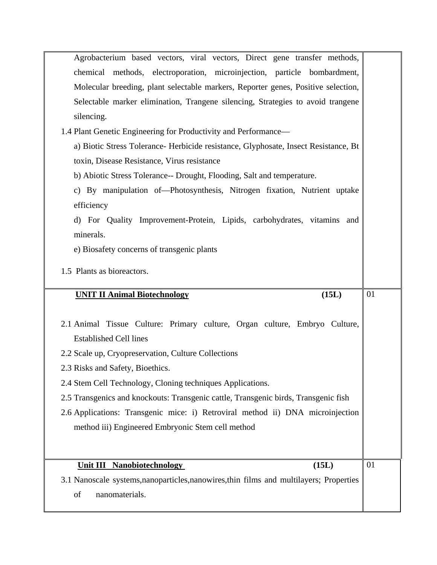| Agrobacterium based vectors, viral vectors, Direct gene transfer methods,               |    |
|-----------------------------------------------------------------------------------------|----|
|                                                                                         |    |
| chemical methods, electroporation, microinjection, particle bombardment,                |    |
| Molecular breeding, plant selectable markers, Reporter genes, Positive selection,       |    |
| Selectable marker elimination, Trangene silencing, Strategies to avoid trangene         |    |
| silencing.                                                                              |    |
| 1.4 Plant Genetic Engineering for Productivity and Performance—                         |    |
| a) Biotic Stress Tolerance- Herbicide resistance, Glyphosate, Insect Resistance, Bt     |    |
| toxin, Disease Resistance, Virus resistance                                             |    |
| b) Abiotic Stress Tolerance-- Drought, Flooding, Salt and temperature.                  |    |
| c) By manipulation of-Photosynthesis, Nitrogen fixation, Nutrient uptake                |    |
| efficiency                                                                              |    |
| d) For Quality Improvement-Protein, Lipids, carbohydrates, vitamins and                 |    |
| minerals.                                                                               |    |
| e) Biosafety concerns of transgenic plants                                              |    |
| 1.5 Plants as bioreactors.                                                              |    |
|                                                                                         |    |
|                                                                                         |    |
| <b>UNIT II Animal Biotechnology</b><br>(15L)                                            | 01 |
|                                                                                         |    |
| 2.1 Animal Tissue Culture: Primary culture, Organ culture, Embryo Culture,              |    |
| <b>Established Cell lines</b>                                                           |    |
| 2.2 Scale up, Cryopreservation, Culture Collections                                     |    |
| 2.3 Risks and Safety, Bioethics.                                                        |    |
| 2.4 Stem Cell Technology, Cloning techniques Applications.                              |    |
| 2.5 Transgenics and knockouts: Transgenic cattle, Transgenic birds, Transgenic fish     |    |
| 2.6 Applications: Transgenic mice: i) Retroviral method ii) DNA microinjection          |    |
| method iii) Engineered Embryonic Stem cell method                                       |    |
|                                                                                         |    |
|                                                                                         |    |
| <b>Unit III Nanobiotechnology</b><br>(15L)                                              | 01 |
| 3.1 Nanoscale systems, nanoparticles, nanowires, thin films and multilayers; Properties |    |
| of<br>nanomaterials.                                                                    |    |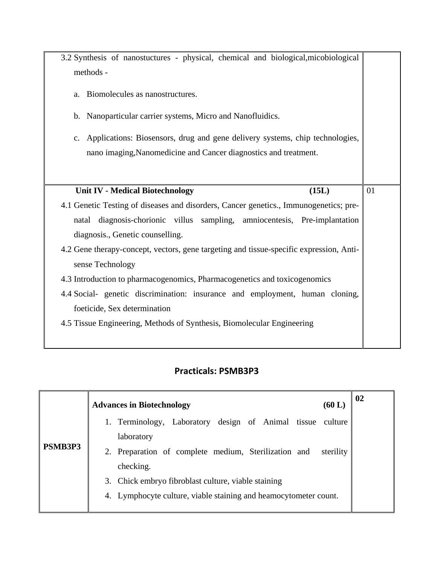| 3.2 Synthesis of nanostuctures - physical, chemical and biological, micobiological      |       |    |
|-----------------------------------------------------------------------------------------|-------|----|
| methods -                                                                               |       |    |
|                                                                                         |       |    |
| Biomolecules as nanostructures.<br>a.                                                   |       |    |
|                                                                                         |       |    |
| b. Nanoparticular carrier systems, Micro and Nanofluidics.                              |       |    |
|                                                                                         |       |    |
| Applications: Biosensors, drug and gene delivery systems, chip technologies,<br>c.      |       |    |
| nano imaging, Nanomedicine and Cancer diagnostics and treatment.                        |       |    |
|                                                                                         |       |    |
|                                                                                         |       |    |
| <b>Unit IV - Medical Biotechnology</b>                                                  | (15L) | 01 |
|                                                                                         |       |    |
| 4.1 Genetic Testing of diseases and disorders, Cancer genetics., Immunogenetics; pre-   |       |    |
| diagnosis-chorionic villus sampling, amniocentesis, Pre-implantation<br>natal           |       |    |
| diagnosis., Genetic counselling.                                                        |       |    |
|                                                                                         |       |    |
| 4.2 Gene therapy-concept, vectors, gene targeting and tissue-specific expression, Anti- |       |    |
| sense Technology                                                                        |       |    |
| 4.3 Introduction to pharmacogenomics, Pharmacogenetics and toxicogenomics               |       |    |
| 4.4 Social- genetic discrimination: insurance and employment, human cloning,            |       |    |
| foeticide, Sex determination                                                            |       |    |
| 4.5 Tissue Engineering, Methods of Synthesis, Biomolecular Engineering                  |       |    |
|                                                                                         |       |    |

## **Practicals: PSMB3P3**

|                | <b>Advances in Biotechnology</b><br>(60 L)                        | 02 |
|----------------|-------------------------------------------------------------------|----|
|                | 1. Terminology, Laboratory design of Animal tissue culture        |    |
|                | laboratory                                                        |    |
| <b>PSMB3P3</b> | 2. Preparation of complete medium, Sterilization and<br>sterility |    |
|                | checking.                                                         |    |
|                | 3. Chick embryo fibroblast culture, viable staining               |    |
|                | 4. Lymphocyte culture, viable staining and heamocytometer count.  |    |
|                |                                                                   |    |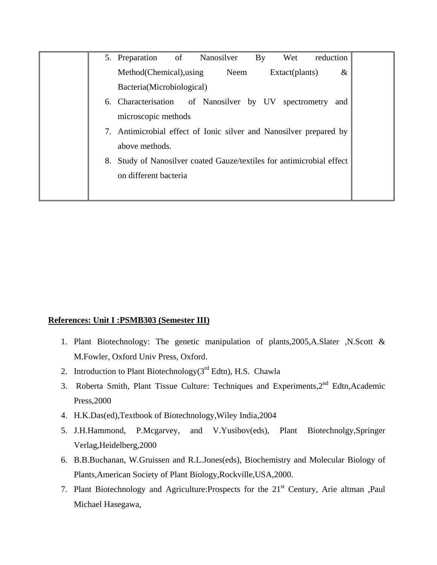|    | of<br>5. Preparation                                               | By<br>Nanosilver    | reduction<br>Wet |      |
|----|--------------------------------------------------------------------|---------------------|------------------|------|
|    | Method (Chemical), using                                           | Neem                | Extact(plants)   | $\&$ |
|    | Bacteria(Microbiological)                                          |                     |                  |      |
|    | 6. Characterisation                                                | of Nanosilver by UV | spectrometry     | and  |
|    | microscopic methods                                                |                     |                  |      |
|    | Antimicrobial effect of Ionic silver and Nanosilver prepared by    |                     |                  |      |
|    | above methods.                                                     |                     |                  |      |
| 8. | Study of Nanosilver coated Gauze/textiles for antimicrobial effect |                     |                  |      |
|    | on different bacteria                                              |                     |                  |      |
|    |                                                                    |                     |                  |      |

### **References: Unit I :PSMB303 (Semester III)**

- 1. Plant Biotechnology: The genetic manipulation of plants,2005,A.Slater ,N.Scott & M.Fowler, Oxford Univ Press, Oxford.
- 2. Introduction to Plant Biotechnology( $3<sup>rd</sup>$  Edtn), H.S. Chawla
- 3. Roberta Smith, Plant Tissue Culture: Techniques and Experiments, 2<sup>nd</sup> Edtn, Academic Press,2000
- 4. H.K.Das(ed),Textbook of Biotechnology,Wiley India,2004
- 5. J.H.Hammond, P.Mcgarvey, and V.Yusibov(eds), Plant Biotechnolgy,Springer Verlag,Heidelberg,2000
- 6. B.B.Buchanan, W.Gruissen and R.L.Jones(eds), Biochemistry and Molecular Biology of Plants,American Society of Plant Biology,Rockville,USA,2000.
- 7. Plant Biotechnology and Agriculture: Prospects for the 21<sup>st</sup> Century, Arie altman , Paul Michael Hasegawa,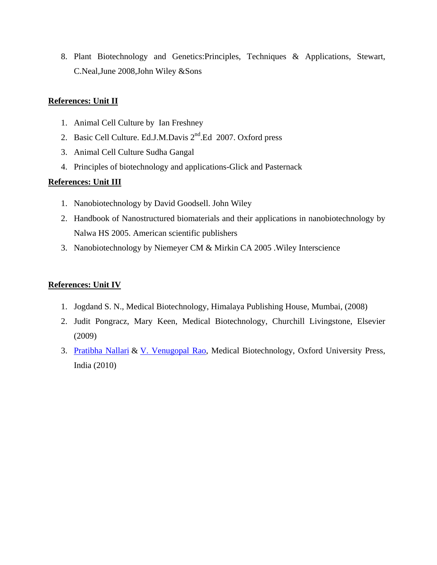8. Plant Biotechnology and Genetics:Principles, Techniques & Applications, Stewart, C.Neal,June 2008,John Wiley &Sons

### **References: Unit II**

- 1. Animal Cell Culture by Ian Freshney
- 2. Basic Cell Culture. Ed.J.M.Davis 2<sup>nd</sup>.Ed 2007. Oxford press
- 3. Animal Cell Culture Sudha Gangal
- 4. Principles of biotechnology and applications-Glick and Pasternack

### **References: Unit III**

- 1. Nanobiotechnology by David Goodsell. John Wiley
- 2. Handbook of Nanostructured biomaterials and their applications in nanobiotechnology by Nalwa HS 2005. American scientific publishers
- 3. Nanobiotechnology by Niemeyer CM & Mirkin CA 2005 .Wiley Interscience

### **References: Unit IV**

- 1. Jogdand S. N., Medical Biotechnology, Himalaya Publishing House, Mumbai, (2008)
- 2. Judit Pongracz, Mary Keen, Medical Biotechnology, Churchill Livingstone, Elsevier (2009)
- 3. Pratibha Nallari & V. Venugopal Rao, Medical Biotechnology, Oxford University Press, India (2010)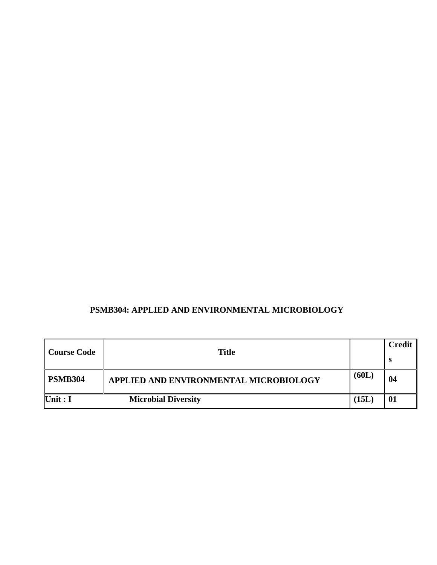### **PSMB304: APPLIED AND ENVIRONMENTAL MICROBIOLOGY**

| <b>Course Code</b> | <b>Title</b>                           |       | Credit |
|--------------------|----------------------------------------|-------|--------|
|                    |                                        |       | - 63   |
| <b>PSMB304</b>     | APPLIED AND ENVIRONMENTAL MICROBIOLOGY | (60L) | 04     |
| Unit : $I$         | <b>Microbial Diversity</b>             | (15L) | 01     |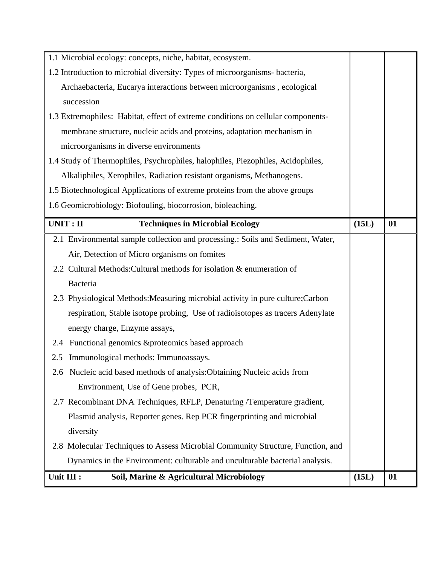| Unit III :<br>Soil, Marine & Agricultural Microbiology                           | (15L) | 01 |
|----------------------------------------------------------------------------------|-------|----|
| Dynamics in the Environment: culturable and unculturable bacterial analysis.     |       |    |
| 2.8 Molecular Techniques to Assess Microbial Community Structure, Function, and  |       |    |
| diversity                                                                        |       |    |
| Plasmid analysis, Reporter genes. Rep PCR fingerprinting and microbial           |       |    |
| 2.7 Recombinant DNA Techniques, RFLP, Denaturing /Temperature gradient,          |       |    |
| Environment, Use of Gene probes, PCR,                                            |       |    |
| 2.6 Nucleic acid based methods of analysis: Obtaining Nucleic acids from         |       |    |
| 2.5 Immunological methods: Immunoassays.                                         |       |    |
| Functional genomics & proteomics based approach<br>2.4                           |       |    |
| energy charge, Enzyme assays,                                                    |       |    |
| respiration, Stable isotope probing, Use of radioisotopes as tracers Adenylate   |       |    |
| 2.3 Physiological Methods: Measuring microbial activity in pure culture; Carbon  |       |    |
| Bacteria                                                                         |       |    |
| 2.2 Cultural Methods: Cultural methods for isolation & enumeration of            |       |    |
| Air, Detection of Micro organisms on fomites                                     |       |    |
| 2.1 Environmental sample collection and processing.: Soils and Sediment, Water,  |       |    |
| UNIT: II<br><b>Techniques in Microbial Ecology</b>                               | (15L) | 01 |
| 1.6 Geomicrobiology: Biofouling, biocorrosion, bioleaching.                      |       |    |
| 1.5 Biotechnological Applications of extreme proteins from the above groups      |       |    |
| Alkaliphiles, Xerophiles, Radiation resistant organisms, Methanogens.            |       |    |
| 1.4 Study of Thermophiles, Psychrophiles, halophiles, Piezophiles, Acidophiles,  |       |    |
| microorganisms in diverse environments                                           |       |    |
| membrane structure, nucleic acids and proteins, adaptation mechanism in          |       |    |
| 1.3 Extremophiles: Habitat, effect of extreme conditions on cellular components- |       |    |
| succession                                                                       |       |    |
| Archaebacteria, Eucarya interactions between microorganisms, ecological          |       |    |
| 1.2 Introduction to microbial diversity: Types of microorganisms- bacteria,      |       |    |
| 1.1 Microbial ecology: concepts, niche, habitat, ecosystem.                      |       |    |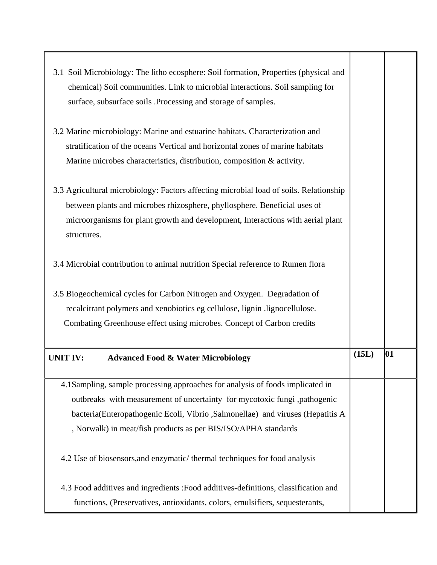| 3.1 Soil Microbiology: The litho ecosphere: Soil formation, Properties (physical and<br>chemical) Soil communities. Link to microbial interactions. Soil sampling for<br>surface, subsurface soils .Processing and storage of samples.                                                                         |       |    |
|----------------------------------------------------------------------------------------------------------------------------------------------------------------------------------------------------------------------------------------------------------------------------------------------------------------|-------|----|
| 3.2 Marine microbiology: Marine and estuarine habitats. Characterization and<br>stratification of the oceans Vertical and horizontal zones of marine habitats                                                                                                                                                  |       |    |
| Marine microbes characteristics, distribution, composition & activity.<br>3.3 Agricultural microbiology: Factors affecting microbial load of soils. Relationship                                                                                                                                               |       |    |
| between plants and microbes rhizosphere, phyllosphere. Beneficial uses of<br>microorganisms for plant growth and development, Interactions with aerial plant<br>structures.                                                                                                                                    |       |    |
| 3.4 Microbial contribution to animal nutrition Special reference to Rumen flora                                                                                                                                                                                                                                |       |    |
| 3.5 Biogeochemical cycles for Carbon Nitrogen and Oxygen. Degradation of<br>recalcitrant polymers and xenobiotics eg cellulose, lignin .lignocellulose.<br>Combating Greenhouse effect using microbes. Concept of Carbon credits                                                                               |       |    |
| <b>UNIT IV:</b><br><b>Advanced Food &amp; Water Microbiology</b>                                                                                                                                                                                                                                               | (15L) | 01 |
| 4.1Sampling, sample processing approaches for analysis of foods implicated in<br>outbreaks with measurement of uncertainty for mycotoxic fungi ,pathogenic<br>bacteria(Enteropathogenic Ecoli, Vibrio, Salmonellae) and viruses (Hepatitis A<br>, Norwalk) in meat/fish products as per BIS/ISO/APHA standards |       |    |
| 4.2 Use of biosensors, and enzymatic/thermal techniques for food analysis                                                                                                                                                                                                                                      |       |    |
|                                                                                                                                                                                                                                                                                                                |       |    |

т

┳

г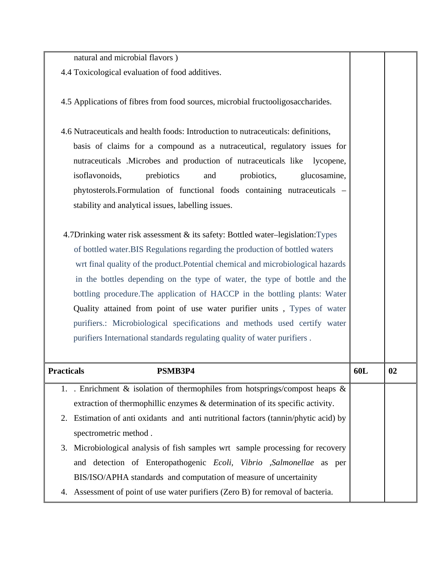natural and microbial flavors )

- 4.4 Toxicological evaluation of food additives.
- 4.5 Applications of fibres from food sources, microbial fructooligosaccharides.
- 4.6 Nutraceuticals and health foods: Introduction to nutraceuticals: definitions, basis of claims for a compound as a nutraceutical, regulatory issues for nutraceuticals .Microbes and production of nutraceuticals like lycopene, isoflavonoids, prebiotics and probiotics, glucosamine, phytosterols.Formulation of functional foods containing nutraceuticals – stability and analytical issues, labelling issues.
- 4.7Drinking water risk assessment & its safety: Bottled water–legislation:Types of bottled water.BIS Regulations regarding the production of bottled waters wrt final quality of the product.Potential chemical and microbiological hazards in the bottles depending on the type of water, the type of bottle and the bottling procedure.The application of HACCP in the bottling plants: Water Quality attained from point of use water purifier units , Types of water purifiers.: Microbiological specifications and methods used certify water purifiers International standards regulating quality of water purifiers .

| <b>Practicals</b> | PSMB3P4                                                                                    | 60L | 02 |
|-------------------|--------------------------------------------------------------------------------------------|-----|----|
|                   | 1. Enrichment & isolation of thermophiles from hotsprings/compost heaps &                  |     |    |
|                   | extraction of thermophillic enzymes & determination of its specific activity.              |     |    |
|                   | 2. Estimation of anti oxidants and anti nutritional factors (tannin/phytic acid) by        |     |    |
|                   | spectrometric method.                                                                      |     |    |
|                   | 3. Microbiological analysis of fish samples wrt sample processing for recovery             |     |    |
|                   | and detection of Enteropathogenic <i>Ecoli</i> , <i>Vibrio</i> , <i>Salmonellae</i> as per |     |    |
|                   | BIS/ISO/APHA standards and computation of measure of uncertainity                          |     |    |
| 4.                | Assessment of point of use water purifiers (Zero B) for removal of bacteria.               |     |    |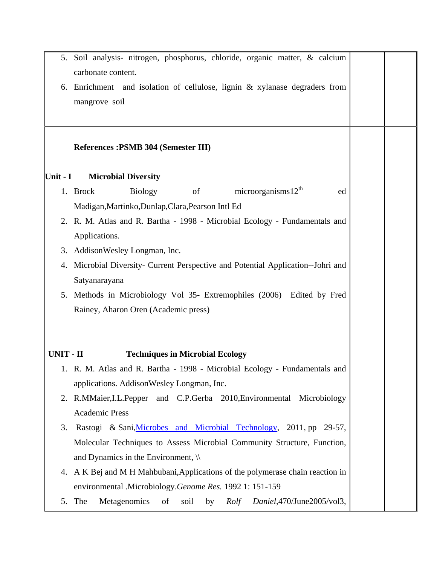|            | 5. Soil analysis- nitrogen, phosphorus, chloride, organic matter, & calcium                                                               |  |
|------------|-------------------------------------------------------------------------------------------------------------------------------------------|--|
|            | carbonate content.                                                                                                                        |  |
| 6.         | Enrichment and isolation of cellulose, lignin & xylanase degraders from                                                                   |  |
|            | mangrove soil                                                                                                                             |  |
|            |                                                                                                                                           |  |
|            | References: PSMB 304 (Semester III)                                                                                                       |  |
| Unit - $I$ | <b>Microbial Diversity</b>                                                                                                                |  |
|            | microorganisms $12^{th}$<br><sub>of</sub><br><b>Biology</b><br>1. Brock<br>ed                                                             |  |
|            | Madigan, Martinko, Dunlap, Clara, Pearson Intl Ed                                                                                         |  |
|            | 2. R. M. Atlas and R. Bartha - 1998 - Microbial Ecology - Fundamentals and                                                                |  |
|            | Applications.                                                                                                                             |  |
| 3.         | AddisonWesley Longman, Inc.                                                                                                               |  |
|            | 4. Microbial Diversity- Current Perspective and Potential Application--Johri and                                                          |  |
|            | Satyanarayana                                                                                                                             |  |
|            | 5. Methods in Microbiology Vol 35- Extremophiles (2006) Edited by Fred                                                                    |  |
|            | Rainey, Aharon Oren (Academic press)                                                                                                      |  |
|            |                                                                                                                                           |  |
|            |                                                                                                                                           |  |
| UNIT - II  | <b>Techniques in Microbial Ecology</b>                                                                                                    |  |
|            | 1. R. M. Atlas and R. Bartha - 1998 - Microbial Ecology - Fundamentals and                                                                |  |
|            | applications. AddisonWesley Longman, Inc.                                                                                                 |  |
|            | 2. R.MMaier, I.L.Pepper and C.P.Gerba 2010, Environmental Microbiology                                                                    |  |
|            | <b>Academic Press</b>                                                                                                                     |  |
| 3.         | Rastogi & Sani, Microbes and Microbial Technology, 2011, pp 29-57,                                                                        |  |
|            | Molecular Techniques to Assess Microbial Community Structure, Function,<br>and Dynamics in the Environment, $\mathcal{N}$                 |  |
|            |                                                                                                                                           |  |
|            | 4. A K Bej and M H Mahbubani, Applications of the polymerase chain reaction in<br>environmental .Microbiology.Genome Res. 1992 1: 151-159 |  |
|            | 5. The<br>of<br>Daniel, 470/June2005/vol3,<br>Metagenomics<br>soil<br>by<br>Rolf                                                          |  |
|            |                                                                                                                                           |  |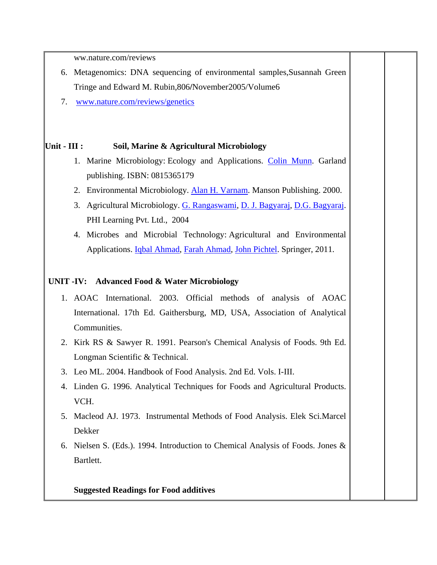ww.nature.com/reviews

- 6. Metagenomics: DNA sequencing of environmental samples,Susannah Green Tringe and Edward M. Rubin,806**/**November2005/Volume6
- 7. www.nature.com/reviews/genetics

### **Unit - III : Soil, Marine & Agricultural Microbiology**

- 1. Marine Microbiology: Ecology and Applications. Colin Munn. Garland publishing. ISBN: 0815365179
- 2. Environmental Microbiology. Alan H. Varnam. Manson Publishing. 2000.
- 3. Agricultural Microbiology. G. Rangaswami, D. J. Bagyaraj, D.G. Bagyaraj. PHI Learning Pvt. Ltd., 2004
- 4. Microbes and Microbial Technology: Agricultural and Environmental Applications. Iqbal Ahmad, Farah Ahmad, John Pichtel. Springer, 2011.

### **UNIT -IV: Advanced Food & Water Microbiology**

- 1. AOAC International. 2003. Official methods of analysis of AOAC International. 17th Ed. Gaithersburg, MD, USA, Association of Analytical Communities.
- 2. Kirk RS & Sawyer R. 1991. Pearson's Chemical Analysis of Foods. 9th Ed. Longman Scientific & Technical.
- 3. Leo ML. 2004. Handbook of Food Analysis. 2nd Ed. Vols. I-III.
- 4. Linden G. 1996. Analytical Techniques for Foods and Agricultural Products. VCH.
- 5. Macleod AJ. 1973. Instrumental Methods of Food Analysis. Elek Sci.Marcel Dekker
- 6. Nielsen S. (Eds.). 1994. Introduction to Chemical Analysis of Foods. Jones & Bartlett.

**Suggested Readings for Food additives**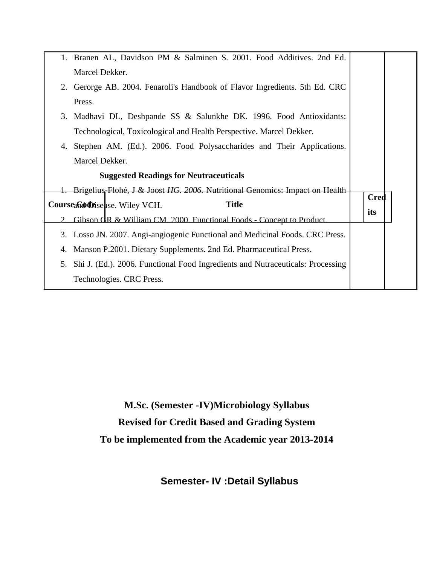|    | 1. Branen AL, Davidson PM & Salminen S. 2001. Food Additives. 2nd Ed.          |             |  |
|----|--------------------------------------------------------------------------------|-------------|--|
|    | Marcel Dekker.                                                                 |             |  |
|    | 2. Gerorge AB. 2004. Fenaroli's Handbook of Flavor Ingredients. 5th Ed. CRC    |             |  |
|    | Press.                                                                         |             |  |
|    |                                                                                |             |  |
|    | 3. Madhavi DL, Deshpande SS & Salunkhe DK. 1996. Food Antioxidants:            |             |  |
|    | Technological, Toxicological and Health Perspective. Marcel Dekker.            |             |  |
| 4. | Stephen AM. (Ed.). 2006. Food Polysaccharides and Their Applications.          |             |  |
|    | Marcel Dekker.                                                                 |             |  |
|    | <b>Suggested Readings for Neutraceuticals</b>                                  |             |  |
|    | Brigelius-Flohé, J & Joost HG. 2006. Nutritional Genomics: Impact on Health    |             |  |
|    | <b>Title</b><br>Courseand Disease. Wiley VCH.                                  | <b>Cred</b> |  |
|    | Gibson GR & William CM, 2000. Functional Foods - Concept to Product.           | its         |  |
| 3. | Losso JN. 2007. Angi-angiogenic Functional and Medicinal Foods. CRC Press.     |             |  |
| 4. | Manson P.2001. Dietary Supplements. 2nd Ed. Pharmaceutical Press.              |             |  |
| 5. | Shi J. (Ed.). 2006. Functional Food Ingredients and Nutraceuticals: Processing |             |  |
|    |                                                                                |             |  |
|    | Technologies. CRC Press.                                                       |             |  |

**M.Sc. (Semester -IV)Microbiology Syllabus Revised for Credit Based and Grading System To be implemented from the Academic year 2013-2014** 

**Semester- IV :Detail Syllabus**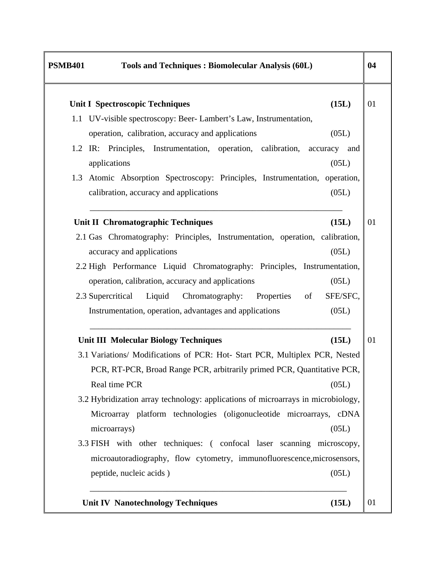| <b>PSMB401</b> | Tools and Techniques: Biomolecular Analysis (60L)                                                     |
|----------------|-------------------------------------------------------------------------------------------------------|
|                | (15L)<br><b>Unit I Spectroscopic Techniques</b>                                                       |
|                | 1.1 UV-visible spectroscopy: Beer-Lambert's Law, Instrumentation,                                     |
|                | (05L)<br>operation, calibration, accuracy and applications                                            |
|                | 1.2 IR: Principles, Instrumentation, operation, calibration,<br>accuracy and<br>(05L)<br>applications |
|                | 1.3 Atomic Absorption Spectroscopy: Principles, Instrumentation, operation,                           |
|                | (05L)<br>calibration, accuracy and applications                                                       |
|                | <b>Unit II Chromatographic Techniques</b><br>(15L)                                                    |
|                | 2.1 Gas Chromatography: Principles, Instrumentation, operation, calibration,                          |
|                | (05L)<br>accuracy and applications                                                                    |
|                | 2.2 High Performance Liquid Chromatography: Principles, Instrumentation,                              |
|                | operation, calibration, accuracy and applications<br>(05L)                                            |
|                | SFE/SFC,<br>2.3 Supercritical Liquid Chromatography:<br>Properties<br>of                              |
|                | (05L)<br>Instrumentation, operation, advantages and applications                                      |
|                | <b>Unit III Molecular Biology Techniques</b><br>(15L)                                                 |
|                | 3.1 Variations/ Modifications of PCR: Hot- Start PCR, Multiplex PCR, Nested                           |
|                | PCR, RT-PCR, Broad Range PCR, arbitrarily primed PCR, Quantitative PCR,                               |
|                | Real time PCR<br>(05L)                                                                                |
|                | 3.2 Hybridization array technology: applications of microarrays in microbiology,                      |
|                | Microarray platform technologies (oligonucleotide microarrays, cDNA<br>(05L)<br>microarrays)          |
|                | 3.3 FISH with other techniques: (confocal laser scanning microscopy,                                  |
|                | microautoradiography, flow cytometry, immunofluorescence, microsensors,                               |
|                |                                                                                                       |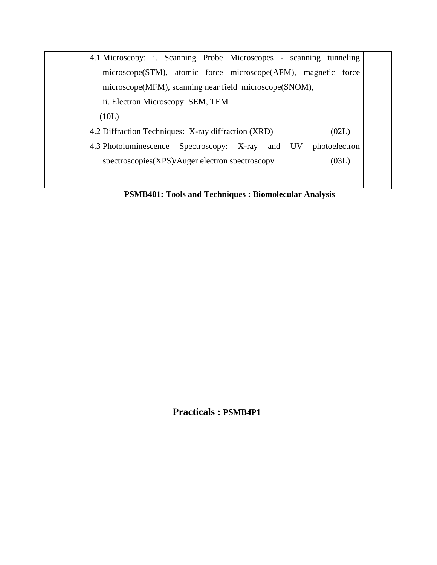| 4.1 Microscopy: i. Scanning Probe Microscopes - scanning tunneling |               |
|--------------------------------------------------------------------|---------------|
| microscope(STM), atomic force microscope(AFM), magnetic force      |               |
| microscope(MFM), scanning near field microscope(SNOM),             |               |
| ii. Electron Microscopy: SEM, TEM                                  |               |
| (10L)                                                              |               |
| 4.2 Diffraction Techniques: X-ray diffraction (XRD)                | (02L)         |
| 4.3 Photoluminescence<br>Spectroscopy: X-ray and UV                | photoelectron |
| spectroscopies(XPS)/Auger electron spectroscopy                    | (03L)         |
|                                                                    |               |
|                                                                    |               |

**PSMB401: Tools and Techniques : Biomolecular Analysis**

**Practicals : PSMB4P1**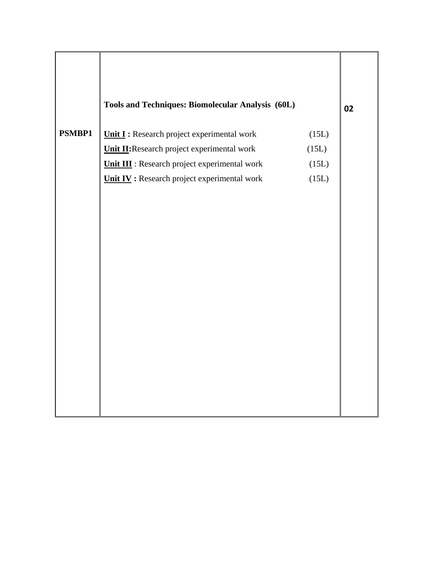|               | Tools and Techniques: Biomolecular Analysis (60L)                                          |                | 02 |
|---------------|--------------------------------------------------------------------------------------------|----------------|----|
| <b>PSMBP1</b> | Unit I : Research project experimental work<br>Unit II: Research project experimental work | (15L)<br>(15L) |    |
|               | <b>Unit III</b> : Research project experimental work                                       |                |    |
|               | <b>Unit IV</b> : Research project experimental work                                        | (15L)<br>(15L) |    |
|               |                                                                                            |                |    |
|               |                                                                                            |                |    |
|               |                                                                                            |                |    |
|               |                                                                                            |                |    |
|               |                                                                                            |                |    |
|               |                                                                                            |                |    |
|               |                                                                                            |                |    |
|               |                                                                                            |                |    |
|               |                                                                                            |                |    |
|               |                                                                                            |                |    |
|               |                                                                                            |                |    |
|               |                                                                                            |                |    |
|               |                                                                                            |                |    |
|               |                                                                                            |                |    |
|               |                                                                                            |                |    |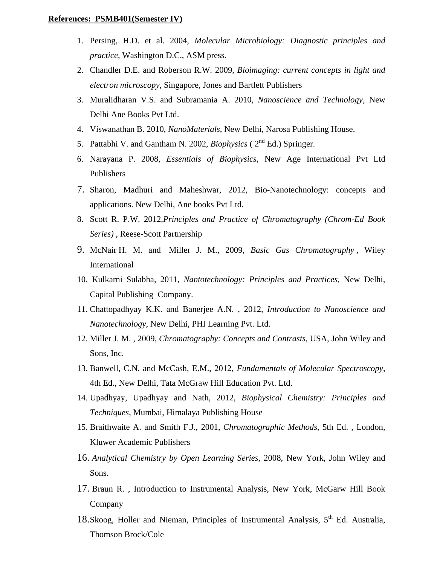#### **References: PSMB401(Semester IV)**

- 1. Persing, H.D. et al. 2004, *Molecular Microbiology: Diagnostic principles and practice,* Washington D.C., ASM press*.*
- 2. Chandler D.E. and Roberson R.W. 2009, *Bioimaging: current concepts in light and electron microscopy*, Singapore, Jones and Bartlett Publishers
- 3. Muralidharan V.S. and Subramania A. 2010, *Nanoscience and Technology*, New Delhi Ane Books Pvt Ltd.
- 4. Viswanathan B. 2010, *NanoMaterials,* New Delhi, Narosa Publishing House.
- 5. Pattabhi V. and Gantham N. 2002, *Biophysics* ( 2nd Ed.) Springer.
- 6. Narayana P. 2008, *Essentials of Biophysics*, New Age International Pvt Ltd Publishers
- 7. Sharon, Madhuri and Maheshwar, 2012, Bio-Nanotechnology: concepts and applications. New Delhi, Ane books Pvt Ltd.
- 8. Scott R. P.W. 2012,*Principles and Practice of Chromatography (Chrom-Ed Book Series)* , Reese-Scott Partnership
- 9. McNair H. M. and Miller J. M., 2009, *Basic Gas Chromatography* , Wiley International
- 10. Kulkarni Sulabha, 2011, *Nantotechnology: Principles and Practices*, New Delhi, Capital Publishing Company.
- 11. Chattopadhyay K.K. and Banerjee A.N. , 2012*, Introduction to Nanoscience and Nanotechnology*, New Delhi, PHI Learning Pvt. Ltd.
- 12. Miller J. M. , 2009, *Chromatography: Concepts and Contrasts*, USA, John Wiley and Sons, Inc.
- 13. Banwell, C.N. and McCash, E.M., 2012, *Fundamentals of Molecular Spectroscopy*, 4th Ed., New Delhi, Tata McGraw Hill Education Pvt. Ltd.
- 14. Upadhyay, Upadhyay and Nath, 2012, *Biophysical Chemistry: Principles and Techniques*, Mumbai, Himalaya Publishing House
- 15. Braithwaite A. and Smith F.J., 2001, *Chromatographic Methods*, 5th Ed. , London, Kluwer Academic Publishers
- 16. *Analytical Chemistry by Open Learning Series*, 2008, New York, John Wiley and Sons.
- 17. Braun R. , Introduction to Instrumental Analysis, New York, McGarw Hill Book Company
- 18. Skoog, Holler and Nieman, Principles of Instrumental Analysis,  $5<sup>th</sup>$  Ed. Australia, Thomson Brock/Cole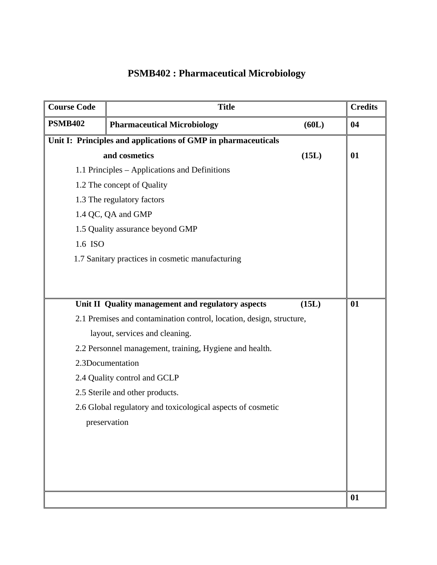# **PSMB402 : Pharmaceutical Microbiology**

| <b>Course Code</b> | <b>Title</b>                                                         |       | <b>Credits</b> |
|--------------------|----------------------------------------------------------------------|-------|----------------|
| <b>PSMB402</b>     | <b>Pharmaceutical Microbiology</b>                                   | (60L) | 04             |
|                    | Unit I: Principles and applications of GMP in pharmaceuticals        |       |                |
|                    | and cosmetics                                                        | (15L) | 01             |
|                    | 1.1 Principles – Applications and Definitions                        |       |                |
|                    | 1.2 The concept of Quality                                           |       |                |
|                    | 1.3 The regulatory factors                                           |       |                |
|                    | 1.4 QC, QA and GMP                                                   |       |                |
|                    | 1.5 Quality assurance beyond GMP                                     |       |                |
| 1.6 ISO            |                                                                      |       |                |
|                    | 1.7 Sanitary practices in cosmetic manufacturing                     |       |                |
|                    |                                                                      |       |                |
|                    |                                                                      |       |                |
|                    | Unit II Quality management and regulatory aspects                    | (15L) | 01             |
|                    | 2.1 Premises and contamination control, location, design, structure, |       |                |
|                    | layout, services and cleaning.                                       |       |                |
|                    | 2.2 Personnel management, training, Hygiene and health.              |       |                |
|                    | 2.3Documentation                                                     |       |                |
|                    | 2.4 Quality control and GCLP                                         |       |                |
|                    | 2.5 Sterile and other products.                                      |       |                |
|                    | 2.6 Global regulatory and toxicological aspects of cosmetic          |       |                |
|                    | preservation                                                         |       |                |
|                    |                                                                      |       |                |
|                    |                                                                      |       |                |
|                    |                                                                      |       |                |
|                    |                                                                      |       |                |
|                    |                                                                      |       | 01             |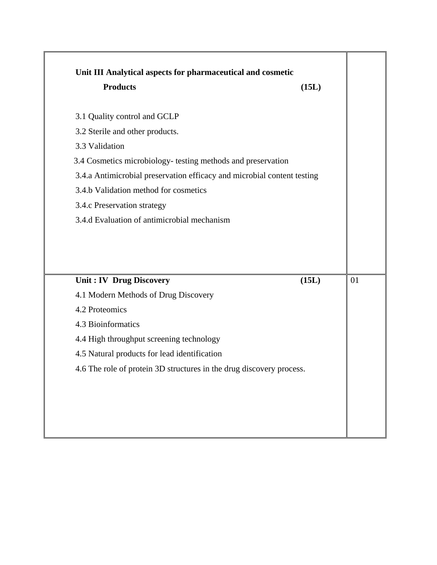| <b>Products</b>                                                         | (15L) |    |
|-------------------------------------------------------------------------|-------|----|
| 3.1 Quality control and GCLP                                            |       |    |
| 3.2 Sterile and other products.                                         |       |    |
| 3.3 Validation                                                          |       |    |
| 3.4 Cosmetics microbiology- testing methods and preservation            |       |    |
| 3.4.a Antimicrobial preservation efficacy and microbial content testing |       |    |
| 3.4.b Validation method for cosmetics                                   |       |    |
| 3.4.c Preservation strategy                                             |       |    |
|                                                                         |       |    |
| 3.4.d Evaluation of antimicrobial mechanism                             |       |    |
|                                                                         |       | 01 |
| Unit: IV Drug Discovery<br>4.1 Modern Methods of Drug Discovery         | (15L) |    |
| 4.2 Proteomics                                                          |       |    |
| 4.3 Bioinformatics                                                      |       |    |
| 4.4 High throughput screening technology                                |       |    |
| 4.5 Natural products for lead identification                            |       |    |
| 4.6 The role of protein 3D structures in the drug discovery process.    |       |    |
|                                                                         |       |    |

┱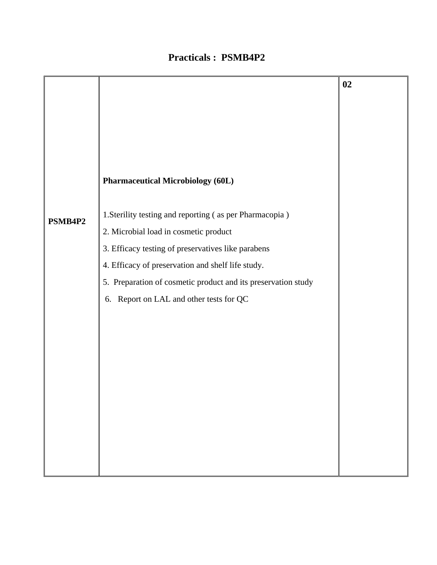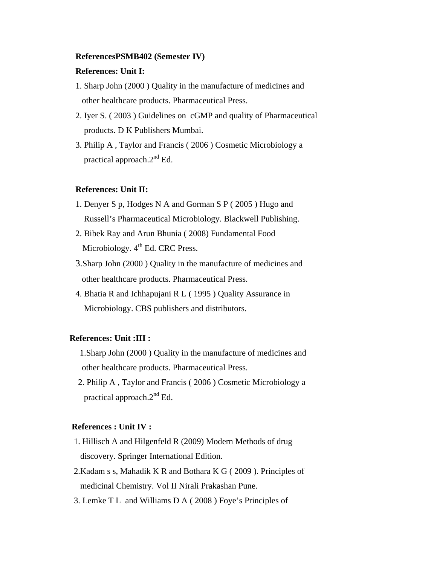#### **ReferencesPSMB402 (Semester IV)**

### **References: Unit I:**

- 1. Sharp John (2000 ) Quality in the manufacture of medicines and other healthcare products. Pharmaceutical Press.
- 2. Iyer S. ( 2003 ) Guidelines on cGMP and quality of Pharmaceutical products. D K Publishers Mumbai.
- 3. Philip A , Taylor and Francis ( 2006 ) Cosmetic Microbiology a practical approach.2nd Ed.

### **References: Unit II:**

- 1. Denyer S p, Hodges N A and Gorman S P ( 2005 ) Hugo and Russell's Pharmaceutical Microbiology. Blackwell Publishing.
- 2. Bibek Ray and Arun Bhunia ( 2008) Fundamental Food Microbiology.  $4<sup>th</sup>$  Ed. CRC Press.
- 3.Sharp John (2000 ) Quality in the manufacture of medicines and other healthcare products. Pharmaceutical Press.
- 4. Bhatia R and Ichhapujani R L ( 1995 ) Quality Assurance in Microbiology. CBS publishers and distributors.

### **References: Unit :III :**

- 1.Sharp John (2000 ) Quality in the manufacture of medicines and other healthcare products. Pharmaceutical Press.
- 2. Philip A , Taylor and Francis ( 2006 ) Cosmetic Microbiology a practical approach. $2<sup>nd</sup>$  Ed.

#### **References : Unit IV :**

- 1. Hillisch A and Hilgenfeld R (2009) Modern Methods of drug discovery. Springer International Edition.
- 2.Kadam s s, Mahadik K R and Bothara K G ( 2009 ). Principles of medicinal Chemistry. Vol II Nirali Prakashan Pune.
- 3. Lemke T L and Williams D A ( 2008 ) Foye's Principles of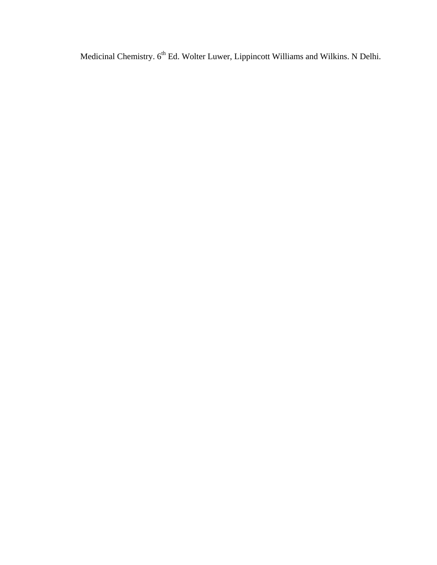Medicinal Chemistry.  $6^{th}$  Ed. Wolter Luwer, Lippincott Williams and Wilkins. N Delhi.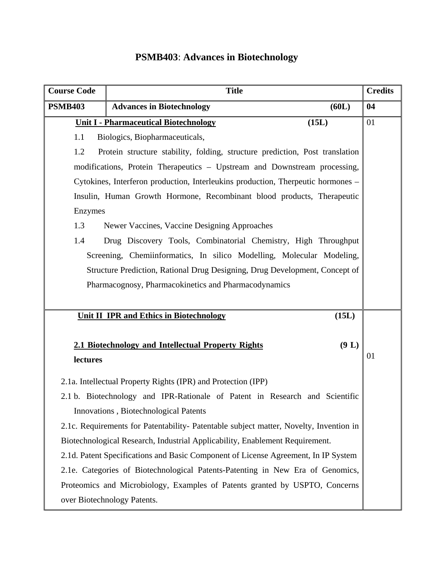# **PSMB403**: **Advances in Biotechnology**

| <b>Course Code</b> | <b>Title</b>                                                                           |       | <b>Credits</b> |
|--------------------|----------------------------------------------------------------------------------------|-------|----------------|
| <b>PSMB403</b>     | <b>Advances in Biotechnology</b>                                                       | (60L) | 04             |
|                    | <b>Unit I - Pharmaceutical Biotechnology</b>                                           | (15L) | 01             |
| 1.1                | Biologics, Biopharmaceuticals,                                                         |       |                |
| 1.2                | Protein structure stability, folding, structure prediction, Post translation           |       |                |
|                    | modifications, Protein Therapeutics - Upstream and Downstream processing,              |       |                |
|                    | Cytokines, Interferon production, Interleukins production, Therpeutic hormones –       |       |                |
|                    | Insulin, Human Growth Hormone, Recombinant blood products, Therapeutic                 |       |                |
| Enzymes            |                                                                                        |       |                |
| 1.3                | Newer Vaccines, Vaccine Designing Approaches                                           |       |                |
| 1.4                | Drug Discovery Tools, Combinatorial Chemistry, High Throughput                         |       |                |
|                    | Screening, Chemiinformatics, In silico Modelling, Molecular Modeling,                  |       |                |
|                    | Structure Prediction, Rational Drug Designing, Drug Development, Concept of            |       |                |
|                    | Pharmacognosy, Pharmacokinetics and Pharmacodynamics                                   |       |                |
|                    |                                                                                        |       |                |
|                    | <b>Unit II IPR and Ethics in Biotechnology</b>                                         | (15L) |                |
|                    |                                                                                        |       |                |
|                    | 2.1 Biotechnology and Intellectual Property Rights                                     | (9 L) |                |
| lectures           |                                                                                        |       | 01             |
|                    | 2.1a. Intellectual Property Rights (IPR) and Protection (IPP)                          |       |                |
|                    | 2.1 b. Biotechnology and IPR-Rationale of Patent in Research and Scientific            |       |                |
|                    | Innovations, Biotechnological Patents                                                  |       |                |
|                    | 2.1c. Requirements for Patentability- Patentable subject matter, Novelty, Invention in |       |                |
|                    | Biotechnological Research, Industrial Applicability, Enablement Requirement.           |       |                |
|                    | 2.1d. Patent Specifications and Basic Component of License Agreement, In IP System     |       |                |
|                    | 2.1e. Categories of Biotechnological Patents-Patenting in New Era of Genomics,         |       |                |
|                    | Proteomics and Microbiology, Examples of Patents granted by USPTO, Concerns            |       |                |
|                    | over Biotechnology Patents.                                                            |       |                |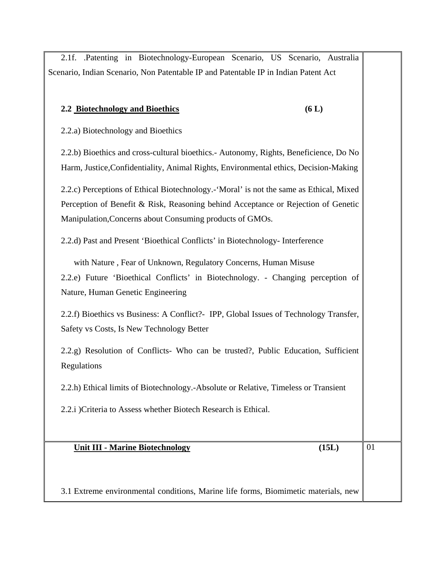2.1f. .Patenting in Biotechnology-European Scenario, US Scenario, Australia Scenario, Indian Scenario, Non Patentable IP and Patentable IP in Indian Patent Act

### **2.2 Biotechnology and Bioethics (6 L)**

2.2.a) Biotechnology and Bioethics

2.2.b) Bioethics and cross-cultural bioethics.- Autonomy, Rights, Beneficience, Do No Harm, Justice,Confidentiality, Animal Rights, Environmental ethics, Decision-Making

2.2.c) Perceptions of Ethical Biotechnology.-'Moral' is not the same as Ethical, Mixed Perception of Benefit & Risk, Reasoning behind Acceptance or Rejection of Genetic Manipulation,Concerns about Consuming products of GMOs.

2.2.d) Past and Present 'Bioethical Conflicts' in Biotechnology- Interference

with Nature , Fear of Unknown, Regulatory Concerns, Human Misuse

2.2.e) Future 'Bioethical Conflicts' in Biotechnology. - Changing perception of Nature, Human Genetic Engineering

2.2.f) Bioethics vs Business: A Conflict?- IPP, Global Issues of Technology Transfer, Safety vs Costs, Is New Technology Better

2.2.g) Resolution of Conflicts- Who can be trusted?, Public Education, Sufficient Regulations

2.2.h) Ethical limits of Biotechnology.-Absolute or Relative, Timeless or Transient

2.2.i )Criteria to Assess whether Biotech Research is Ethical.

### **Unit III - Marine Biotechnology (15L)**

01

3.1 Extreme environmental conditions, Marine life forms, Biomimetic materials, new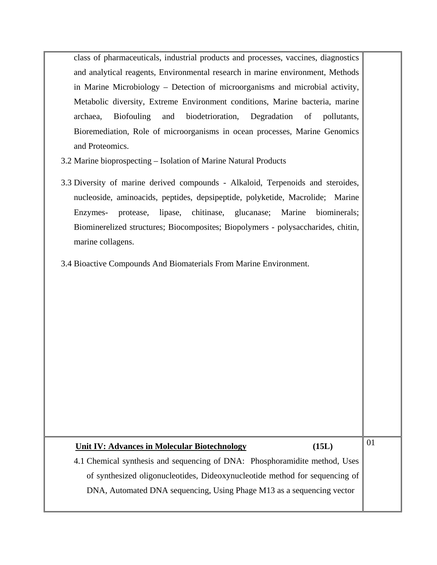class of pharmaceuticals, industrial products and processes, vaccines, diagnostics and analytical reagents, Environmental research in marine environment, Methods in Marine Microbiology – Detection of microorganisms and microbial activity, Metabolic diversity, Extreme Environment conditions, Marine bacteria, marine archaea, Biofouling and biodetrioration, Degradation of pollutants, Bioremediation, Role of microorganisms in ocean processes, Marine Genomics and Proteomics.

- 3.2 Marine bioprospecting Isolation of Marine Natural Products
- 3.3 Diversity of marine derived compounds Alkaloid, Terpenoids and steroides, nucleoside, aminoacids, peptides, depsipeptide, polyketide, Macrolide; Marine Enzymes- protease, lipase, chitinase, glucanase; Marine biominerals; Biominerelized structures; Biocomposites; Biopolymers - polysaccharides, chitin, marine collagens.
- 3.4 Bioactive Compounds And Biomaterials From Marine Environment.

| Unit IV: Advances in Molecular Biotechnology                                | (15L) |
|-----------------------------------------------------------------------------|-------|
| 4.1 Chemical synthesis and sequencing of DNA: Phosphoramidite method, Uses  |       |
| of synthesized oligonucleotides, Dideoxynucleotide method for sequencing of |       |
| DNA, Automated DNA sequencing, Using Phage M13 as a sequencing vector       |       |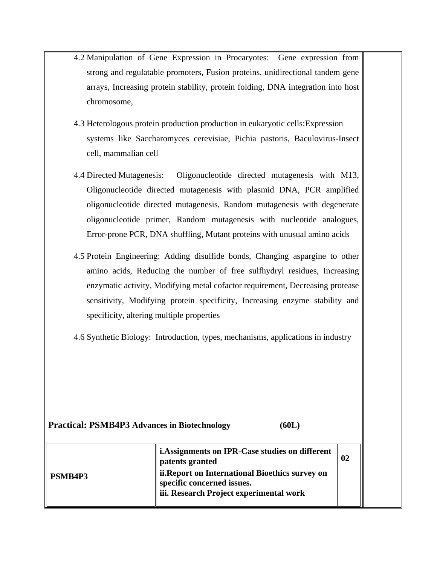- 4.2 Manipulation of Gene Expression in Procaryotes: Gene expression from strong and regulatable promoters, Fusion proteins, unidirectional tandem gene arrays, Increasing protein stability, protein folding, DNA integration into host chromosome,
- 4.3 Heterologous protein production production in eukaryotic cells: Expression systems like Saccharomyces cerevisiae, Pichia pastoris, Baculovirus-Insect cell, mammalian cell
- 4.4 Directed Mutagenesis: Oligonucleotide directed mutagenesis with M13, Oligonucleotide directed mutagenesis with plasmid DNA, PCR amplified oligonucleotide directed mutagenesis, Random mutagenesis with degenerate oligonucleotide primer, Random mutagenesis with nucleotide analogues, Error-prone PCR, DNA shuffling, Mutant proteins with unusual amino acids
- 4.5 Protein Engineering: Adding disulfide bonds, Changing aspargine to other amino acids, Reducing the number of free sulfhydryl residues, Increasing enzymatic activity, Modifying metal cofactor requirement, Decreasing protease sensitivity, Modifying protein specificity, Increasing enzyme stability and specificity, altering multiple properties
- 4.6 Synthetic Biology: Introduction, types, mechanisms, applications in industry

| <b>Practical: PSMB4P3 Advances in Biotechnology</b> | (60L)                                                                                                                                                                                          |    |
|-----------------------------------------------------|------------------------------------------------------------------------------------------------------------------------------------------------------------------------------------------------|----|
| PSMB4P3                                             | i. Assignments on IPR-Case studies on different<br>patents granted<br>ii. Report on International Bioethics survey on<br>specific concerned issues.<br>iii. Research Project experimental work | 02 |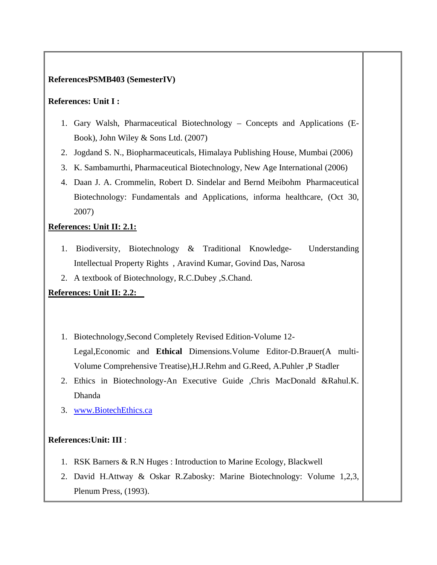### **ReferencesPSMB403 (SemesterIV)**

### **References: Unit I :**

- 1. Gary Walsh, Pharmaceutical Biotechnology Concepts and Applications (E-Book), John Wiley & Sons Ltd. (2007)
- 2. Jogdand S. N., Biopharmaceuticals, Himalaya Publishing House, Mumbai (2006)
- 3. K. Sambamurthi, Pharmaceutical Biotechnology, New Age International (2006)
- 4. Daan J. A. Crommelin, Robert D. Sindelar and Bernd Meibohm Pharmaceutical Biotechnology: Fundamentals and Applications, informa healthcare, (Oct 30, 2007)

### **References: Unit II: 2.1:**

- 1. Biodiversity, Biotechnology & Traditional Knowledge- Understanding Intellectual Property Rights , Aravind Kumar, Govind Das, Narosa
- 2. A textbook of Biotechnology, R.C.Dubey ,S.Chand.

### **References: Unit II: 2.2:**

- 1. Biotechnology,Second Completely Revised Edition-Volume 12- Legal,Economic and **Ethical** Dimensions.Volume Editor-D.Brauer(A multi-Volume Comprehensive Treatise),H.J.Rehm and G.Reed, A.Puhler ,P Stadler
- 2. Ethics in Biotechnology-An Executive Guide ,Chris MacDonald &Rahul.K. Dhanda
- 3. www.BiotechEthics.ca

### **References:Unit: III** :

- 1. RSK Barners & R.N Huges : Introduction to Marine Ecology, Blackwell
- 2. David H.Attway & Oskar R.Zabosky: Marine Biotechnology: Volume 1,2,3, Plenum Press, (1993).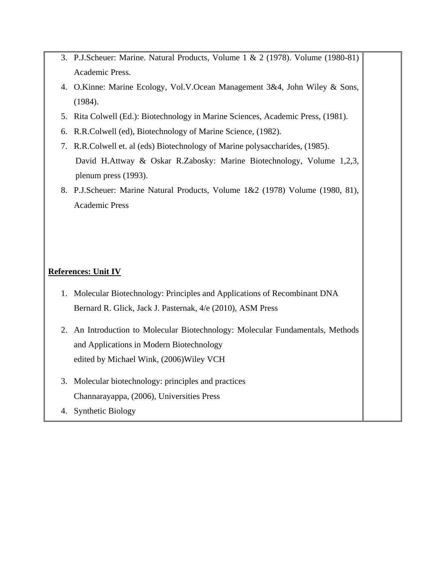- 3. P.J.Scheuer: Marine. Natural Products, Volume 1 & 2 (1978). Volume (1980-81) Academic Press.
- 4. O.Kinne: Marine Ecology, Vol.V.Ocean Management 3&4, John Wiley & Sons, (1984).
- 5. Rita Colwell (Ed.): Biotechnology in Marine Sciences, Academic Press, (1981).
- 6. R.R.Colwell (ed), Biotechnology of Marine Science, (1982).
- 7. R.R.Colwell et. al (eds) Biotechnology of Marine polysaccharides, (1985). David H.Attway & Oskar R.Zabosky: Marine Biotechnology, Volume 1,2,3, plenum press (1993).
- 8. P.J.Scheuer: Marine Natural Products, Volume 1&2 (1978) Volume (1980, 81), Academic Press

### **References: Unit IV**

- 1. Molecular Biotechnology: Principles and Applications of Recombinant DNA Bernard R. Glick, Jack J. Pasternak, 4/e (2010), ASM Press
- 2. An Introduction to Molecular Biotechnology: Molecular Fundamentals, Methods and Applications in Modern Biotechnology edited by Michael Wink, (2006)Wiley VCH
- 3. Molecular biotechnology: principles and practices Channarayappa, (2006), Universities Press
- 4. Synthetic Biology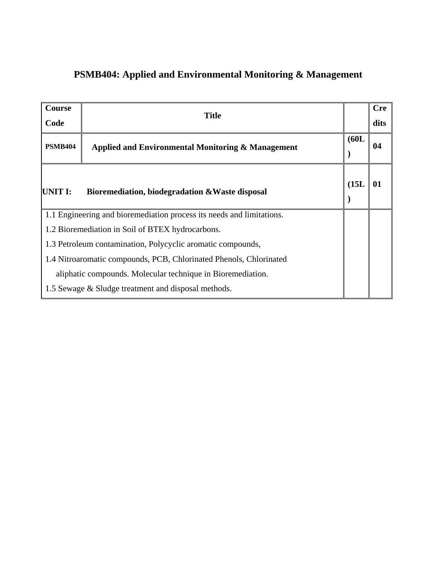# **PSMB404: Applied and Environmental Monitoring & Management**

| <b>Course</b>  | <b>Title</b>                                                          |       | <b>Cre</b> |
|----------------|-----------------------------------------------------------------------|-------|------------|
| Code           |                                                                       |       | dits       |
| <b>PSMB404</b> | Applied and Environmental Monitoring & Management                     | (60L) | 04         |
| UNIT I:        | Bioremediation, biodegradation & Waste disposal                       | (15L) | 01         |
|                | 1.1 Engineering and bioremediation process its needs and limitations. |       |            |
|                | 1.2 Bioremediation in Soil of BTEX hydrocarbons.                      |       |            |
|                | 1.3 Petroleum contamination, Polycyclic aromatic compounds,           |       |            |
|                | 1.4 Nitroaromatic compounds, PCB, Chlorinated Phenols, Chlorinated    |       |            |
|                | aliphatic compounds. Molecular technique in Bioremediation.           |       |            |
|                | 1.5 Sewage & Sludge treatment and disposal methods.                   |       |            |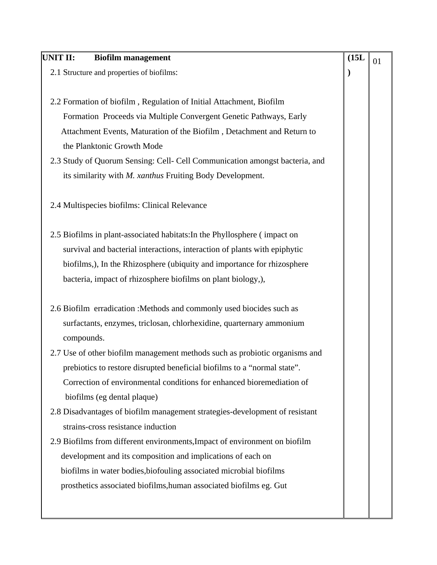| UNIT II:<br><b>Biofilm management</b>                                       | (15L) | 01 |
|-----------------------------------------------------------------------------|-------|----|
| 2.1 Structure and properties of biofilms:                                   |       |    |
| 2.2 Formation of biofilm, Regulation of Initial Attachment, Biofilm         |       |    |
| Formation Proceeds via Multiple Convergent Genetic Pathways, Early          |       |    |
| Attachment Events, Maturation of the Biofilm, Detachment and Return to      |       |    |
| the Planktonic Growth Mode                                                  |       |    |
| 2.3 Study of Quorum Sensing: Cell- Cell Communication amongst bacteria, and |       |    |
| its similarity with M. xanthus Fruiting Body Development.                   |       |    |
|                                                                             |       |    |
| 2.4 Multispecies biofilms: Clinical Relevance                               |       |    |
| 2.5 Biofilms in plant-associated habitats: In the Phyllosphere (impact on   |       |    |
| survival and bacterial interactions, interaction of plants with epiphytic   |       |    |
| biofilms,), In the Rhizosphere (ubiquity and importance for rhizosphere     |       |    |
| bacteria, impact of rhizosphere biofilms on plant biology,),                |       |    |
| 2.6 Biofilm erradication : Methods and commonly used biocides such as       |       |    |
| surfactants, enzymes, triclosan, chlorhexidine, quarternary ammonium        |       |    |
| compounds.                                                                  |       |    |
| 2.7 Use of other biofilm management methods such as probiotic organisms and |       |    |
| prebiotics to restore disrupted beneficial biofilms to a "normal state".    |       |    |
| Correction of environmental conditions for enhanced bioremediation of       |       |    |
| biofilms (eg dental plaque)                                                 |       |    |
| 2.8 Disadvantages of biofilm management strategies-development of resistant |       |    |
| strains-cross resistance induction                                          |       |    |
| 2.9 Biofilms from different environments, Impact of environment on biofilm  |       |    |
| development and its composition and implications of each on                 |       |    |
| biofilms in water bodies, biofouling associated microbial biofilms          |       |    |
| prosthetics associated biofilms, human associated biofilms eg. Gut          |       |    |
|                                                                             |       |    |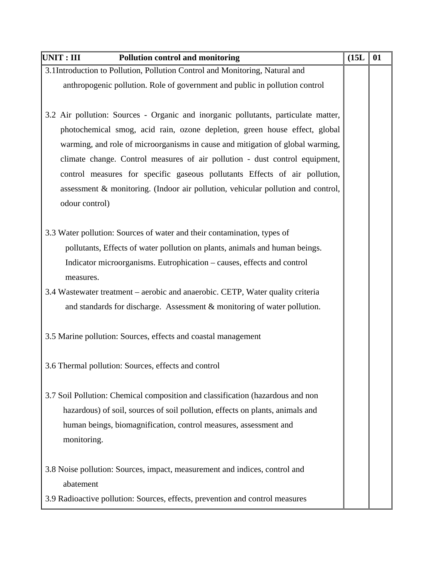| $\ $ UNIT : III<br>Pollution control and monitoring                                | (15L) | 01 |
|------------------------------------------------------------------------------------|-------|----|
| 3.1Introduction to Pollution, Pollution Control and Monitoring, Natural and        |       |    |
| anthropogenic pollution. Role of government and public in pollution control        |       |    |
|                                                                                    |       |    |
| 3.2 Air pollution: Sources - Organic and inorganic pollutants, particulate matter, |       |    |
| photochemical smog, acid rain, ozone depletion, green house effect, global         |       |    |
| warming, and role of microorganisms in cause and mitigation of global warming,     |       |    |
| climate change. Control measures of air pollution - dust control equipment,        |       |    |
| control measures for specific gaseous pollutants Effects of air pollution,         |       |    |
| assessment & monitoring. (Indoor air pollution, vehicular pollution and control,   |       |    |
| odour control)                                                                     |       |    |
|                                                                                    |       |    |
| 3.3 Water pollution: Sources of water and their contamination, types of            |       |    |
| pollutants, Effects of water pollution on plants, animals and human beings.        |       |    |
| Indicator microorganisms. Eutrophication - causes, effects and control             |       |    |
| measures.                                                                          |       |    |
| 3.4 Wastewater treatment – aerobic and anaerobic. CETP, Water quality criteria     |       |    |
| and standards for discharge. Assessment & monitoring of water pollution.           |       |    |
|                                                                                    |       |    |
| 3.5 Marine pollution: Sources, effects and coastal management                      |       |    |
|                                                                                    |       |    |
| 3.6 Thermal pollution: Sources, effects and control                                |       |    |
|                                                                                    |       |    |
| 3.7 Soil Pollution: Chemical composition and classification (hazardous and non     |       |    |
| hazardous) of soil, sources of soil pollution, effects on plants, animals and      |       |    |
| human beings, biomagnification, control measures, assessment and                   |       |    |
| monitoring.                                                                        |       |    |
|                                                                                    |       |    |
| 3.8 Noise pollution: Sources, impact, measurement and indices, control and         |       |    |
| abatement                                                                          |       |    |
| 3.9 Radioactive pollution: Sources, effects, prevention and control measures       |       |    |
|                                                                                    |       |    |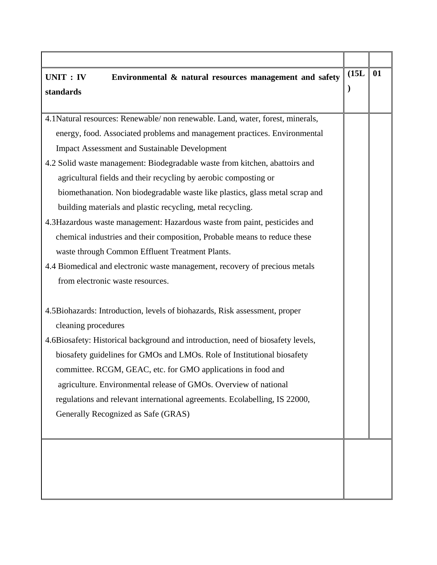| UNIT : IV<br>Environmental & natural resources management and safety            | (15L) | 01 |
|---------------------------------------------------------------------------------|-------|----|
| standards                                                                       |       |    |
|                                                                                 |       |    |
| 4.1Natural resources: Renewable/ non renewable. Land, water, forest, minerals,  |       |    |
| energy, food. Associated problems and management practices. Environmental       |       |    |
| <b>Impact Assessment and Sustainable Development</b>                            |       |    |
| 4.2 Solid waste management: Biodegradable waste from kitchen, abattoirs and     |       |    |
| agricultural fields and their recycling by aerobic composting or                |       |    |
| biomethanation. Non biodegradable waste like plastics, glass metal scrap and    |       |    |
| building materials and plastic recycling, metal recycling.                      |       |    |
| 4.3Hazardous waste management: Hazardous waste from paint, pesticides and       |       |    |
| chemical industries and their composition, Probable means to reduce these       |       |    |
| waste through Common Effluent Treatment Plants.                                 |       |    |
| 4.4 Biomedical and electronic waste management, recovery of precious metals     |       |    |
| from electronic waste resources.                                                |       |    |
|                                                                                 |       |    |
| 4.5Biohazards: Introduction, levels of biohazards, Risk assessment, proper      |       |    |
| cleaning procedures                                                             |       |    |
| 4.6Biosafety: Historical background and introduction, need of biosafety levels, |       |    |
| biosafety guidelines for GMOs and LMOs. Role of Institutional biosafety         |       |    |
| committee. RCGM, GEAC, etc. for GMO applications in food and                    |       |    |
| agriculture. Environmental release of GMOs. Overview of national                |       |    |
| regulations and relevant international agreements. Ecolabelling, IS 22000,      |       |    |
| Generally Recognized as Safe (GRAS)                                             |       |    |
|                                                                                 |       |    |
|                                                                                 |       |    |
|                                                                                 |       |    |
|                                                                                 |       |    |
|                                                                                 |       |    |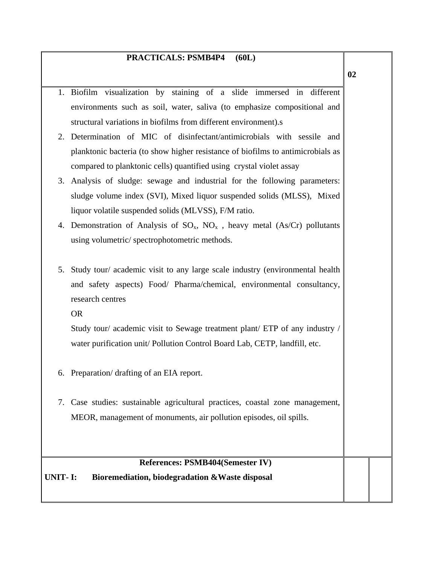### **PRACTICALS: PSMB4P4 (60L)**

1. Biofilm visualization by staining of a slide immersed in different

environments such as soil, water, saliva (to emphasize compositional and structural variations in biofilms from different environment).s 2. Determination of MIC of disinfectant/antimicrobials with sessile and planktonic bacteria (to show higher resistance of biofilms to antimicrobials as compared to planktonic cells) quantified using crystal violet assay 3. Analysis of sludge: sewage and industrial for the following parameters: sludge volume index (SVI), Mixed liquor suspended solids (MLSS), Mixed liquor volatile suspended solids (MLVSS), F/M ratio. 4. Demonstration of Analysis of  $SO_x$ ,  $NO_x$ , heavy metal (As/Cr) pollutants using volumetric/ spectrophotometric methods. 5. Study tour/ academic visit to any large scale industry (environmental health and safety aspects) Food/ Pharma/chemical, environmental consultancy, research centres OR Study tour/ academic visit to Sewage treatment plant/ ETP of any industry / water purification unit/ Pollution Control Board Lab, CETP, landfill, etc. 6. Preparation/ drafting of an EIA report. 7. Case studies: sustainable agricultural practices, coastal zone management, MEOR, management of monuments, air pollution episodes, oil spills. **References: PSMB404(Semester IV) UNIT- I: Bioremediation, biodegradation &Waste disposal**

**02**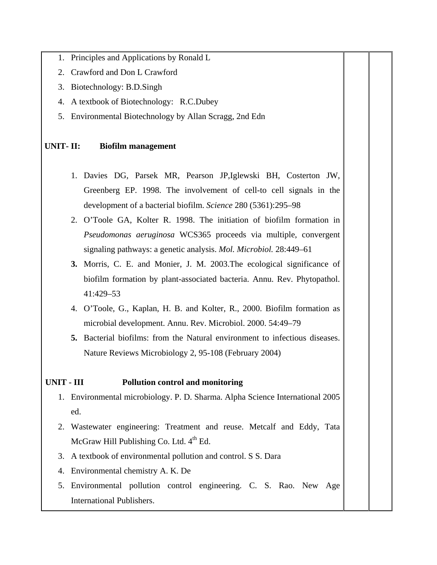- 1. Principles and Applications by Ronald L
- 2. Crawford and Don L Crawford
- 3. Biotechnology: B.D.Singh
- 4. A textbook of Biotechnology: R.C.Dubey
- 5. Environmental Biotechnology by Allan Scragg, 2nd Edn

### **UNIT- II: Biofilm management**

- 1. Davies DG, Parsek MR, Pearson JP,Iglewski BH, Costerton JW, Greenberg EP. 1998. The involvement of cell-to cell signals in the development of a bacterial biofilm. *Science* 280 (5361):295–98
- 2. O'Toole GA, Kolter R. 1998. The initiation of biofilm formation in *Pseudomonas aeruginosa* WCS365 proceeds via multiple, convergent signaling pathways: a genetic analysis. *Mol. Microbiol.* 28:449–61
- **3.** Morris, C. E. and Monier, J. M. 2003.The ecological significance of biofilm formation by plant-associated bacteria. Annu. Rev. Phytopathol. 41:429–53
- 4. O'Toole, G., Kaplan, H. B. and Kolter, R., 2000. Biofilm formation as microbial development. Annu. Rev. Microbiol. 2000. 54:49–79
- **5.** Bacterial biofilms: from the Natural environment to infectious diseases. Nature Reviews Microbiology 2, 95-108 (February 2004)

### **UNIT - III Pollution control and monitoring**

- 1. Environmental microbiology. P. D. Sharma. Alpha Science International 2005 ed.
- 2. Wastewater engineering: Treatment and reuse. Metcalf and Eddy, Tata McGraw Hill Publishing Co. Ltd. 4<sup>th</sup> Ed.
- 3. A textbook of environmental pollution and control. S S. Dara
- 4. Environmental chemistry A. K. De
- 5. Environmental pollution control engineering. C. S. Rao. New Age International Publishers.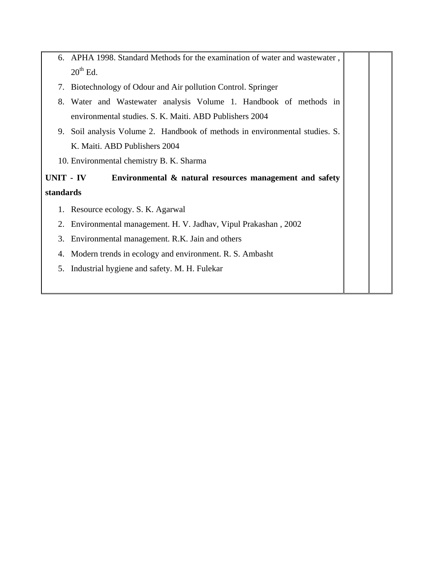|           | 6. APHA 1998. Standard Methods for the examination of water and wastewater, |  |
|-----------|-----------------------------------------------------------------------------|--|
|           | $20^{th}$ Ed.                                                               |  |
|           | 7. Biotechnology of Odour and Air pollution Control. Springer               |  |
| 8.        | Water and Wastewater analysis Volume 1. Handbook of methods in              |  |
|           | environmental studies. S. K. Maiti. ABD Publishers 2004                     |  |
|           | 9. Soil analysis Volume 2. Handbook of methods in environmental studies. S. |  |
|           | K. Maiti. ABD Publishers 2004                                               |  |
|           |                                                                             |  |
|           | 10. Environmental chemistry B. K. Sharma                                    |  |
| UNIT - IV | Environmental & natural resources management and safety                     |  |
| standards |                                                                             |  |
|           | 1. Resource ecology. S. K. Agarwal                                          |  |
| 2.        | Environmental management. H. V. Jadhav, Vipul Prakashan, 2002               |  |
|           | 3. Environmental management. R.K. Jain and others                           |  |
| 4.        | Modern trends in ecology and environment. R. S. Ambasht                     |  |
| 5.        | Industrial hygiene and safety. M. H. Fulekar                                |  |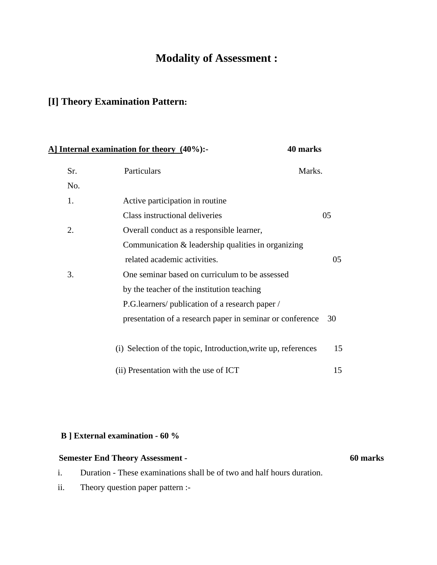# **Modality of Assessment :**

# **[I] Theory Examination Pattern:**

|     | A] Internal examination for theory (40%):-                     | 40 marks |  |  |
|-----|----------------------------------------------------------------|----------|--|--|
| Sr. | Particulars<br>Marks.                                          |          |  |  |
| No. |                                                                |          |  |  |
| 1.  | Active participation in routine                                |          |  |  |
|     | Class instructional deliveries                                 | 05       |  |  |
| 2.  | Overall conduct as a responsible learner,                      |          |  |  |
|     | Communication $&$ leadership qualities in organizing           |          |  |  |
|     | related academic activities.                                   | 05       |  |  |
| 3.  | One seminar based on curriculum to be assessed                 |          |  |  |
|     | by the teacher of the institution teaching                     |          |  |  |
|     | P.G. learners/ publication of a research paper /               |          |  |  |
|     | presentation of a research paper in seminar or conference      | 30       |  |  |
|     | (i) Selection of the topic, Introduction, write up, references | 15       |  |  |
|     | (ii) Presentation with the use of ICT                          | 15       |  |  |

### **B ] External examination - 60 %**

| <b>Semester End Theory Assessment -</b>                                | 60 marks |
|------------------------------------------------------------------------|----------|
| Duration - These examinations shall be of two and half hours duration. |          |

ii. Theory question paper pattern :-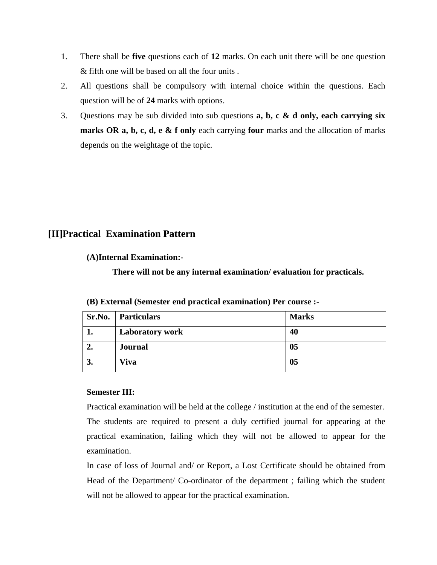- 1. There shall be **five** questions each of **12** marks. On each unit there will be one question & fifth one will be based on all the four units .
- 2. All questions shall be compulsory with internal choice within the questions. Each question will be of **24** marks with options.
- 3. Questions may be sub divided into sub questions **a, b, c & d only, each carrying six marks OR a, b, c, d, e & f only** each carrying **four** marks and the allocation of marks depends on the weightage of the topic.

## **[II]Practical Examination Pattern**

**(A)Internal Examination:-** 

**There will not be any internal examination/ evaluation for practicals.** 

| Sr.No. | Particulars            | <b>Marks</b> |
|--------|------------------------|--------------|
|        | <b>Laboratory work</b> | 40           |
| ∸.     | <b>Journal</b>         | 05           |
| J.     | Viva                   | 05           |

**(B) External (Semester end practical examination) Per course :-** 

### **Semester III:**

Practical examination will be held at the college / institution at the end of the semester. The students are required to present a duly certified journal for appearing at the practical examination, failing which they will not be allowed to appear for the examination.

In case of loss of Journal and/ or Report, a Lost Certificate should be obtained from Head of the Department/ Co-ordinator of the department ; failing which the student will not be allowed to appear for the practical examination.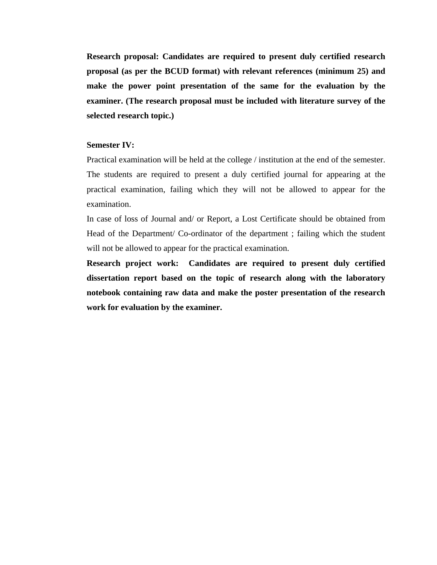**Research proposal: Candidates are required to present duly certified research proposal (as per the BCUD format) with relevant references (minimum 25) and make the power point presentation of the same for the evaluation by the examiner. (The research proposal must be included with literature survey of the selected research topic.)** 

#### **Semester IV:**

Practical examination will be held at the college / institution at the end of the semester. The students are required to present a duly certified journal for appearing at the practical examination, failing which they will not be allowed to appear for the examination.

In case of loss of Journal and/ or Report, a Lost Certificate should be obtained from Head of the Department/ Co-ordinator of the department ; failing which the student will not be allowed to appear for the practical examination.

**Research project work: Candidates are required to present duly certified dissertation report based on the topic of research along with the laboratory notebook containing raw data and make the poster presentation of the research work for evaluation by the examiner.**